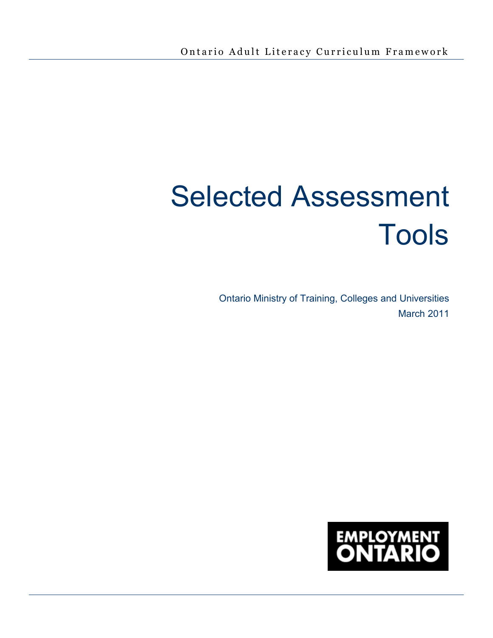# Selected Assessment Tools

Ontario Ministry of Training, Colleges and Universities March 2011

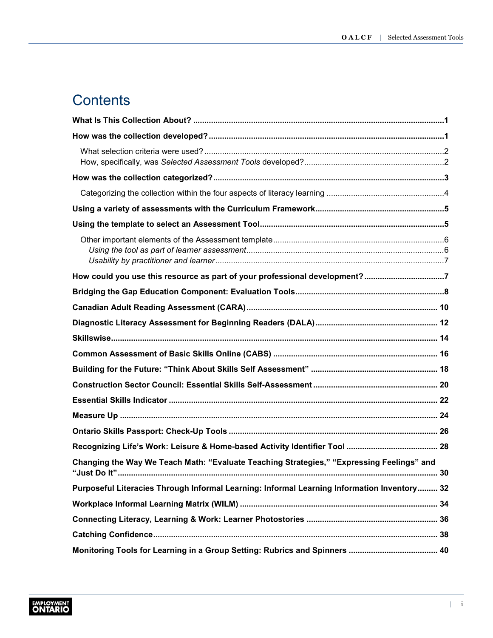# **Contents**

| How could you use this resource as part of your professional development?7                  |
|---------------------------------------------------------------------------------------------|
|                                                                                             |
|                                                                                             |
|                                                                                             |
|                                                                                             |
|                                                                                             |
|                                                                                             |
|                                                                                             |
|                                                                                             |
|                                                                                             |
|                                                                                             |
|                                                                                             |
| Changing the Way We Teach Math: "Evaluate Teaching Strategies," "Expressing Feelings" and   |
| Purposeful Literacies Through Informal Learning: Informal Learning Information Inventory 32 |
|                                                                                             |
|                                                                                             |
|                                                                                             |
|                                                                                             |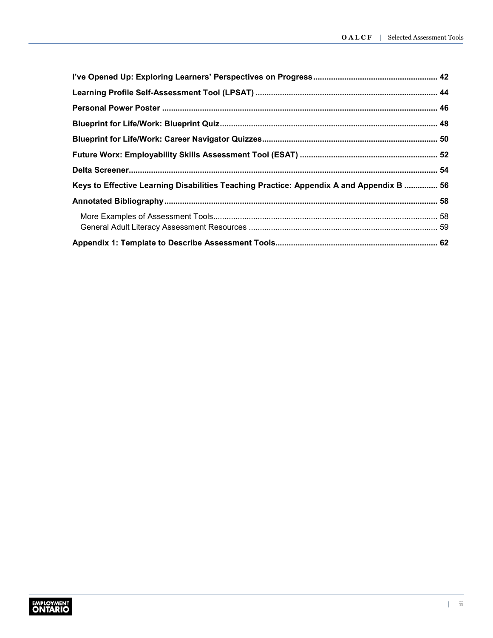| Keys to Effective Learning Disabilities Teaching Practice: Appendix A and Appendix B  56 |  |
|------------------------------------------------------------------------------------------|--|
|                                                                                          |  |
|                                                                                          |  |
|                                                                                          |  |
|                                                                                          |  |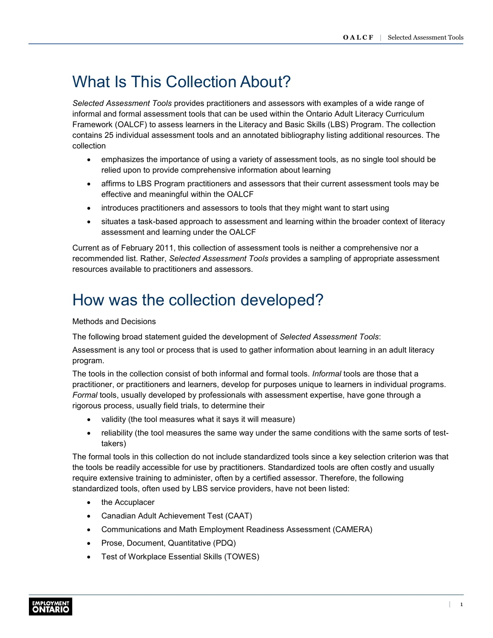# <span id="page-3-0"></span>What Is This Collection About?

*Selected Assessment Tools* provides practitioners and assessors with examples of a wide range of informal and formal assessment tools that can be used within the Ontario Adult Literacy Curriculum Framework (OALCF) to assess learners in the Literacy and Basic Skills (LBS) Program. The collection contains 25 individual assessment tools and an annotated bibliography listing additional resources. The collection

- emphasizes the importance of using a variety of assessment tools, as no single tool should be relied upon to provide comprehensive information about learning
- affirms to LBS Program practitioners and assessors that their current assessment tools may be effective and meaningful within the OALCF
- introduces practitioners and assessors to tools that they might want to start using
- situates a task-based approach to assessment and learning within the broader context of literacy assessment and learning under the OALCF

Current as of February 2011, this collection of assessment tools is neither a comprehensive nor a recommended list. Rather, *Selected Assessment Tools* provides a sampling of appropriate assessment resources available to practitioners and assessors.

# How was the collection developed?

Methods and Decisions

The following broad statement guided the development of *Selected Assessment Tools*:

Assessment is any tool or process that is used to gather information about learning in an adult literacy program*.* 

The tools in the collection consist of both informal and formal tools. *Informal* tools are those that a practitioner, or practitioners and learners, develop for purposes unique to learners in individual programs. *Formal* tools, usually developed by professionals with assessment expertise, have gone through a rigorous process, usually field trials, to determine their

- validity (the tool measures what it says it will measure)
- reliability (the tool measures the same way under the same conditions with the same sorts of testtakers)

The formal tools in this collection do not include standardized tools since a key selection criterion was that the tools be readily accessible for use by practitioners. Standardized tools are often costly and usually require extensive training to administer, often by a certified assessor. Therefore, the following standardized tools, often used by LBS service providers, have not been listed:

- the Accuplacer
- Canadian Adult Achievement Test (CAAT)
- Communications and Math Employment Readiness Assessment (CAMERA)
- Prose, Document, Quantitative (PDQ)
- Test of Workplace Essential Skills (TOWES)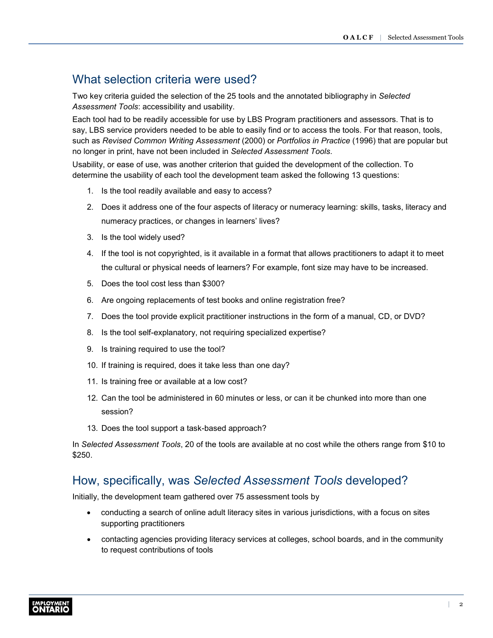# <span id="page-4-0"></span>What selection criteria were used?

Two key criteria guided the selection of the 25 tools and the annotated bibliography in *Selected Assessment Tools*: accessibility and usability.

Each tool had to be readily accessible for use by LBS Program practitioners and assessors. That is to say, LBS service providers needed to be able to easily find or to access the tools. For that reason, tools, such as *Revised Common Writing Assessment* (2000) or *Portfolios in Practice* (1996) that are popular but no longer in print, have not been included in *Selected Assessment Tools*.

Usability, or ease of use, was another criterion that guided the development of the collection. To determine the usability of each tool the development team asked the following 13 questions:

- 1. Is the tool readily available and easy to access?
- 2. Does it address one of the four aspects of literacy or numeracy learning: skills, tasks, literacy and numeracy practices, or changes in learners' lives?
- 3. Is the tool widely used?
- 4. If the tool is not copyrighted, is it available in a format that allows practitioners to adapt it to meet the cultural or physical needs of learners? For example, font size may have to be increased.
- 5. Does the tool cost less than \$300?
- 6. Are ongoing replacements of test books and online registration free?
- 7. Does the tool provide explicit practitioner instructions in the form of a manual, CD, or DVD?
- 8. Is the tool self-explanatory, not requiring specialized expertise?
- 9. Is training required to use the tool?
- 10. If training is required, does it take less than one day?
- 11. Is training free or available at a low cost?
- 12. Can the tool be administered in 60 minutes or less, or can it be chunked into more than one session?
- 13. Does the tool support a task-based approach?

In *Selected Assessment Tools*, 20 of the tools are available at no cost while the others range from \$10 to \$250.

# How, specifically, was *Selected Assessment Tools* developed?

Initially, the development team gathered over 75 assessment tools by

- conducting a search of online adult literacy sites in various jurisdictions, with a focus on sites supporting practitioners
- contacting agencies providing literacy services at colleges, school boards, and in the community to request contributions of tools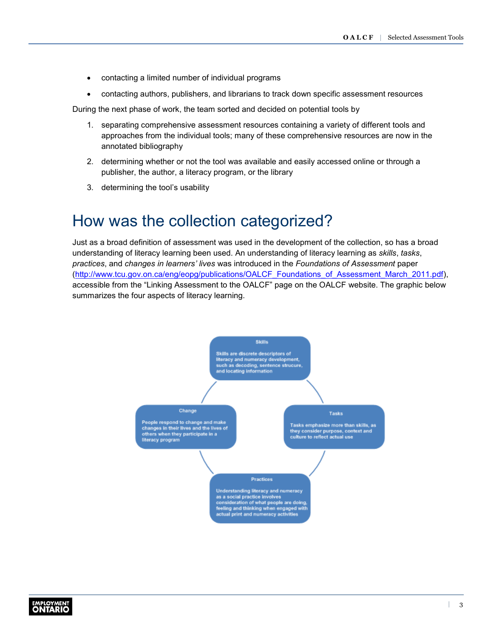- <span id="page-5-0"></span>• contacting a limited number of individual programs
- contacting authors, publishers, and librarians to track down specific assessment resources

During the next phase of work, the team sorted and decided on potential tools by

- 1. separating comprehensive assessment resources containing a variety of different tools and approaches from the individual tools; many of these comprehensive resources are now in the annotated bibliography
- 2. determining whether or not the tool was available and easily accessed online or through a publisher, the author, a literacy program, or the library
- 3. determining the tool's usability

# How was the collection categorized?

Just as a broad definition of assessment was used in the development of the collection, so has a broad understanding of literacy learning been used. An understanding of literacy learning as *skills*, *tasks*, *practices*, and *changes in learners' lives* was introduced in the *Foundations of Assessment* paper [\(http://www.tcu.gov.on.ca/eng/eopg/publications/OALCF\\_Foundations\\_of\\_Assessment\\_March\\_2011.pdf\)](http://www.tcu.gov.on.ca/eng/eopg/publications/OALCF_Foundations_of_Assessment_March_2011.pdf), accessible from the "Linking Assessment to the OALCF" page on the OALCF website. The graphic below summarizes the four aspects of literacy learning.



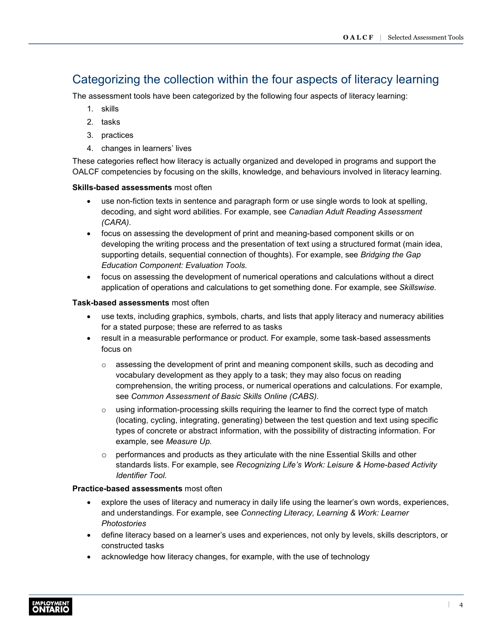# <span id="page-6-0"></span>Categorizing the collection within the four aspects of literacy learning

The assessment tools have been categorized by the following four aspects of literacy learning:

- 1. skills
- 2. tasks
- 3. practices
- 4. changes in learners' lives

These categories reflect how literacy is actually organized and developed in programs and support the OALCF competencies by focusing on the skills, knowledge, and behaviours involved in literacy learning.

#### **Skills-based assessments** most often

- use non-fiction texts in sentence and paragraph form or use single words to look at spelling, decoding, and sight word abilities. For example, see *Canadian Adult Reading Assessment (CARA).*
- focus on assessing the development of print and meaning-based component skills or on developing the writing process and the presentation of text using a structured format (main idea, supporting details, sequential connection of thoughts). For example, see *Bridging the Gap Education Component: Evaluation Tools.*
- focus on assessing the development of numerical operations and calculations without a direct application of operations and calculations to get something done. For example, see *Skillswise.*

#### **Task-based assessments** most often

- use texts, including graphics, symbols, charts, and lists that apply literacy and numeracy abilities for a stated purpose; these are referred to as tasks
- result in a measurable performance or product. For example, some task-based assessments focus on
	- $\circ$  assessing the development of print and meaning component skills, such as decoding and vocabulary development as they apply to a task; they may also focus on reading comprehension, the writing process, or numerical operations and calculations. For example, see *Common Assessment of Basic Skills Online (CABS).*
	- $\circ$  using information-processing skills requiring the learner to find the correct type of match (locating, cycling, integrating, generating) between the test question and text using specific types of concrete or abstract information, with the possibility of distracting information. For example, see *Measure Up.*
	- $\circ$  performances and products as they articulate with the nine Essential Skills and other standards lists. For example, see *Recognizing Life's Work: Leisure & Home-based Activity Identifier Tool.*

#### **Practice-based assessments** most often

- explore the uses of literacy and numeracy in daily life using the learner's own words, experiences, and understandings. For example, see *Connecting Literacy, Learning & Work: Learner Photostories*
- define literacy based on a learner's uses and experiences, not only by levels, skills descriptors, or constructed tasks
- acknowledge how literacy changes, for example, with the use of technology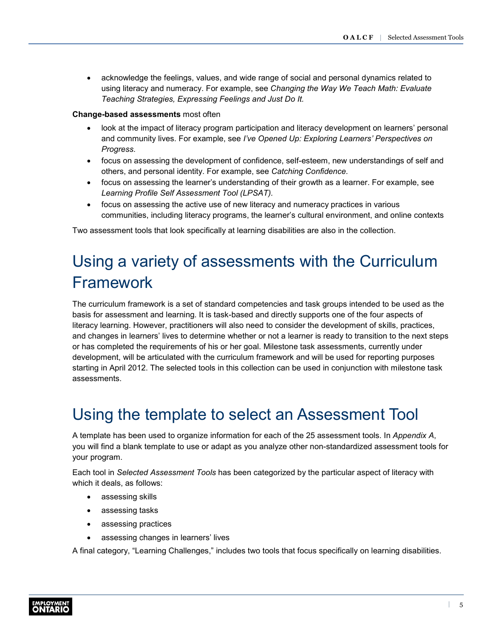<span id="page-7-0"></span>• acknowledge the feelings, values, and wide range of social and personal dynamics related to using literacy and numeracy. For example, see *Changing the Way We Teach Math: Evaluate Teaching Strategies, Expressing Feelings and Just Do It.*

#### **Change-based assessments** most often

- look at the impact of literacy program participation and literacy development on learners' personal and community lives. For example, see *I've Opened Up: Exploring Learners' Perspectives on Progress.*
- focus on assessing the development of confidence, self-esteem, new understandings of self and others, and personal identity. For example, see *Catching Confidence.*
- focus on assessing the learner's understanding of their growth as a learner. For example, see *Learning Profile Self Assessment Tool (LPSAT).*
- focus on assessing the active use of new literacy and numeracy practices in various communities, including literacy programs, the learner's cultural environment, and online contexts

Two assessment tools that look specifically at learning disabilities are also in the collection.

# Using a variety of assessments with the Curriculum Framework

The curriculum framework is a set of standard competencies and task groups intended to be used as the basis for assessment and learning. It is task-based and directly supports one of the four aspects of literacy learning. However, practitioners will also need to consider the development of skills, practices, and changes in learners' lives to determine whether or not a learner is ready to transition to the next steps or has completed the requirements of his or her goal. Milestone task assessments, currently under development, will be articulated with the curriculum framework and will be used for reporting purposes starting in April 2012. The selected tools in this collection can be used in conjunction with milestone task assessments.

# Using the template to select an Assessment Tool

A template has been used to organize information for each of the 25 assessment tools. In *Appendix A*, you will find a blank template to use or adapt as you analyze other non-standardized assessment tools for your program.

Each tool in *Selected Assessment Tools* has been categorized by the particular aspect of literacy with which it deals, as follows:

- assessing skills
- assessing tasks
- assessing practices
- assessing changes in learners' lives

A final category, "Learning Challenges," includes two tools that focus specifically on learning disabilities.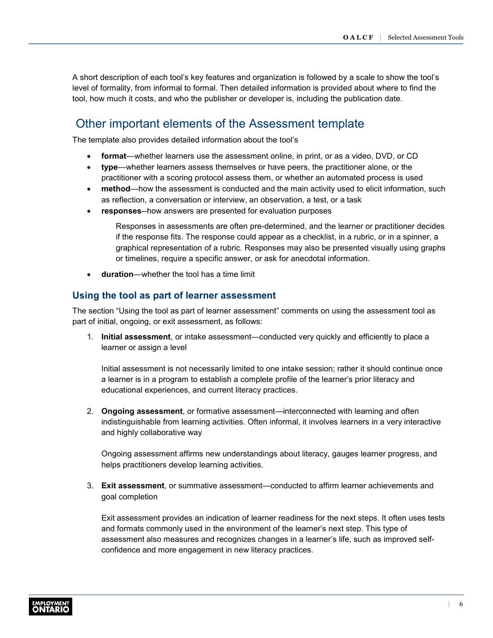<span id="page-8-0"></span>A short description of each tool's key features and organization is followed by a scale to show the tool's level of formality, from informal to formal. Then detailed information is provided about where to find the tool, how much it costs, and who the publisher or developer is, including the publication date.

# Other important elements of the Assessment template

The template also provides detailed information about the tool's

- **format**—whether learners use the assessment online, in print, or as a video, DVD, or CD
- **type**—whether learners assess themselves or have peers, the practitioner alone, or the practitioner with a scoring protocol assess them, or whether an automated process is used
- **method**—how the assessment is conducted and the main activity used to elicit information, such as reflection, a conversation or interview, an observation, a test, or a task
- **responses**--how answers are presented for evaluation purposes

Responses in assessments are often pre-determined, and the learner or practitioner decides if the response fits. The response could appear as a checklist, in a rubric, or in a spinner, a graphical representation of a rubric. Responses may also be presented visually using graphs or timelines, require a specific answer, or ask for anecdotal information.

• **duration**—whether the tool has a time limit

### **Using the tool as part of learner assessment**

The section "Using the tool as part of learner assessment" comments on using the assessment tool as part of initial, ongoing, or exit assessment, as follows:

1. **Initial assessment**, or intake assessment—conducted very quickly and efficiently to place a learner or assign a level

Initial assessment is not necessarily limited to one intake session; rather it should continue once a learner is in a program to establish a complete profile of the learner's prior literacy and educational experiences, and current literacy practices.

2. **Ongoing assessment**, or formative assessment—interconnected with learning and often indistinguishable from learning activities. Often informal, it involves learners in a very interactive and highly collaborative way

Ongoing assessment affirms new understandings about literacy, gauges learner progress, and helps practitioners develop learning activities.

3. **Exit assessment**, or summative assessment—conducted to affirm learner achievements and goal completion

Exit assessment provides an indication of learner readiness for the next steps. It often uses tests and formats commonly used in the environment of the learner's next step. This type of assessment also measures and recognizes changes in a learner's life, such as improved selfconfidence and more engagement in new literacy practices.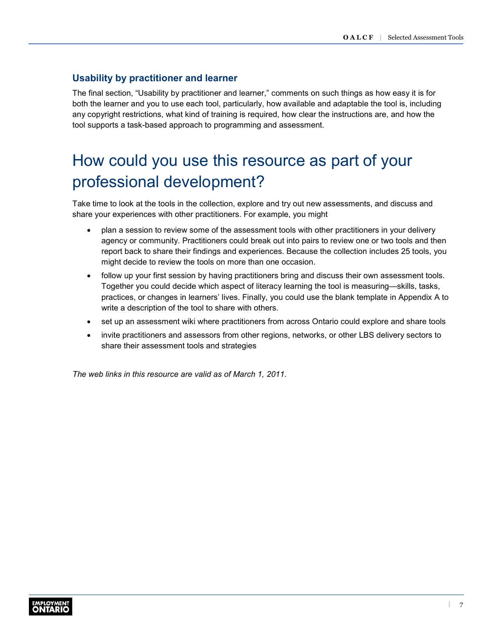# <span id="page-9-0"></span>**Usability by practitioner and learner**

The final section, "Usability by practitioner and learner," comments on such things as how easy it is for both the learner and you to use each tool, particularly, how available and adaptable the tool is, including any copyright restrictions, what kind of training is required, how clear the instructions are, and how the tool supports a task-based approach to programming and assessment.

# How could you use this resource as part of your professional development?

Take time to look at the tools in the collection, explore and try out new assessments, and discuss and share your experiences with other practitioners. For example, you might

- plan a session to review some of the assessment tools with other practitioners in your delivery agency or community. Practitioners could break out into pairs to review one or two tools and then report back to share their findings and experiences. Because the collection includes 25 tools, you might decide to review the tools on more than one occasion.
- follow up your first session by having practitioners bring and discuss their own assessment tools. Together you could decide which aspect of literacy learning the tool is measuring—skills, tasks, practices, or changes in learners' lives. Finally, you could use the blank template in Appendix A to write a description of the tool to share with others.
- set up an assessment wiki where practitioners from across Ontario could explore and share tools
- invite practitioners and assessors from other regions, networks, or other LBS delivery sectors to share their assessment tools and strategies

*The web links in this resource are valid as of March 1, 2011.*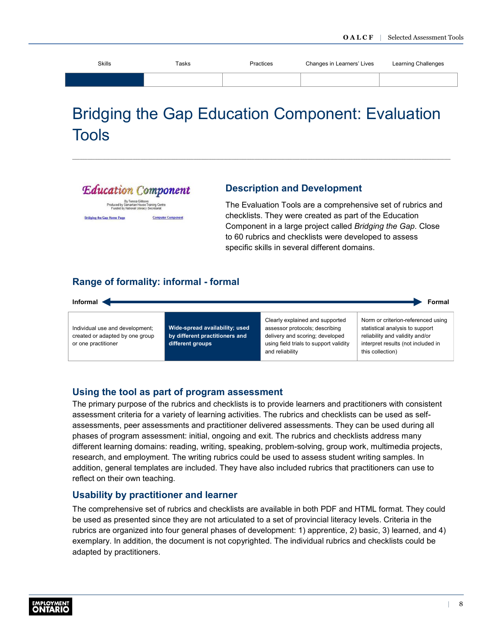<span id="page-10-0"></span>

| <b>Skills</b> | Tasks | Practices | Changes in Learners' Lives | Learning Challenges |
|---------------|-------|-----------|----------------------------|---------------------|
|               |       |           |                            |                     |
|               |       |           |                            |                     |

# Bridging the Gap Education Component: Evaluation Tools



**Bridging the Gap Home Page** 

# **Description and Development**

The Evaluation Tools are a comprehensive set of rubrics and checklists. They were created as part of the Education Component in a large project called *Bridging the Gap*. Close to 60 rubrics and checklists were developed to assess specific skills in several different domains.

# **Range of formality: informal - formal**

**Computer Component** 



### **Using the tool as part of program assessment**

The primary purpose of the rubrics and checklists is to provide learners and practitioners with consistent assessment criteria for a variety of learning activities. The rubrics and checklists can be used as selfassessments, peer assessments and practitioner delivered assessments. They can be used during all phases of program assessment: initial, ongoing and exit. The rubrics and checklists address many different learning domains: reading, writing, speaking, problem-solving, group work, multimedia projects, research, and employment. The writing rubrics could be used to assess student writing samples. In addition, general templates are included. They have also included rubrics that practitioners can use to reflect on their own teaching.

# **Usability by practitioner and learner**

The comprehensive set of rubrics and checklists are available in both PDF and HTML format. They could be used as presented since they are not articulated to a set of provincial literacy levels. Criteria in the rubrics are organized into four general phases of development: 1) apprentice, 2) basic, 3) learned, and 4) exemplary. In addition, the document is not copyrighted. The individual rubrics and checklists could be adapted by practitioners.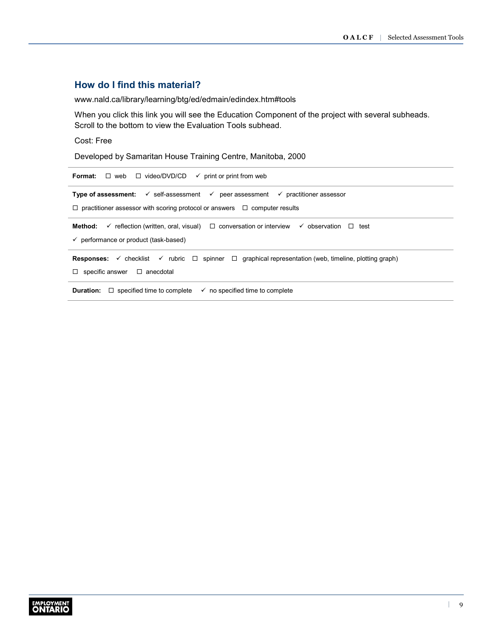# **How do I find this material?**

[www.nald.ca/library/learning/btg/ed/edmain/edindex.htm#tools](http://www.nald.ca/library/learning/btg/ed/edmain/edindex.htm#tools)

When you click this link you will see the Education Component of the project with several subheads. Scroll to the bottom to view the Evaluation Tools subhead.

#### Cost: Free

Developed by Samaritan House Training Centre, Manitoba, 2000

| $\Box$ web $\Box$ video/DVD/CD $\checkmark$ print or print from web<br>Format:                                                                                                                                   |  |  |  |  |
|------------------------------------------------------------------------------------------------------------------------------------------------------------------------------------------------------------------|--|--|--|--|
| <b>Type of assessment:</b> $\checkmark$ self-assessment $\checkmark$ peer assessment $\checkmark$ practitioner assessor<br>$\Box$ practitioner assessor with scoring protocol or answers $\Box$ computer results |  |  |  |  |
| $\checkmark$ reflection (written, oral, visual) $\Box$ conversation or interview $\checkmark$ observation $\Box$ test<br>Method:<br>$\checkmark$ performance or product (task-based)                             |  |  |  |  |
| <b>Responses:</b> $\checkmark$ checklist $\checkmark$ rubric $\Box$ spinner $\Box$ graphical representation (web, timeline, plotting graph)<br>specific answer $\Box$ anecdotal<br>$\Box$                        |  |  |  |  |
| $\Box$ specified time to complete<br>Duration:<br>$\checkmark$ no specified time to complete                                                                                                                     |  |  |  |  |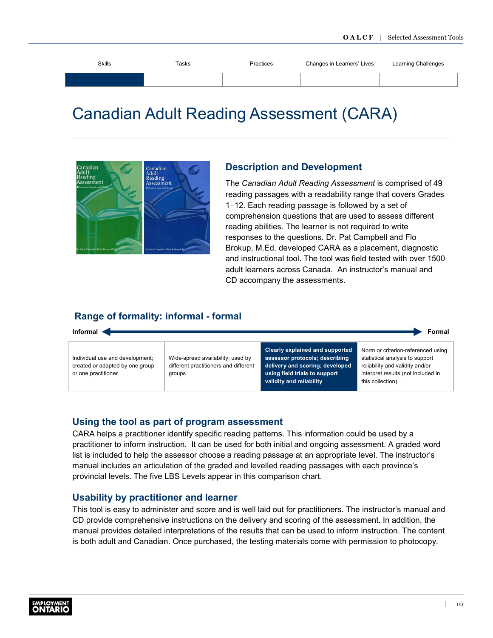<span id="page-12-0"></span>

| Skills | Tasks | Practices | Changes in Learners' Lives | Learning Challenges |
|--------|-------|-----------|----------------------------|---------------------|
|        |       |           |                            |                     |
|        |       |           |                            |                     |

# Canadian Adult Reading Assessment (CARA)



#### **Description and Development**

The *Canadian Adult Reading Assessment* is comprised of 49 reading passages with a readability range that covers Grades 1−12. Each reading passage is followed by a set of comprehension questions that are used to assess different reading abilities. The learner is not required to write responses to the questions. Dr. Pat Campbell and Flo Brokup, M.Ed. developed CARA as a placement, diagnostic and instructional tool. The tool was field tested with over 1500 adult learners across Canada. An instructor's manual and CD accompany the assessments.

### **Range of formality: informal - formal**



#### **Using the tool as part of program assessment**

CARA helps a practitioner identify specific reading patterns. This information could be used by a practitioner to inform instruction. It can be used for both initial and ongoing assessment. A graded word list is included to help the assessor choose a reading passage at an appropriate level. The instructor's manual includes an articulation of the graded and levelled reading passages with each province's provincial levels. The five LBS Levels appear in this comparison chart.

#### **Usability by practitioner and learner**

This tool is easy to administer and score and is well laid out for practitioners. The instructor's manual and CD provide comprehensive instructions on the delivery and scoring of the assessment. In addition, the manual provides detailed interpretations of the results that can be used to inform instruction. The content is both adult and Canadian. Once purchased, the testing materials come with permission to photocopy.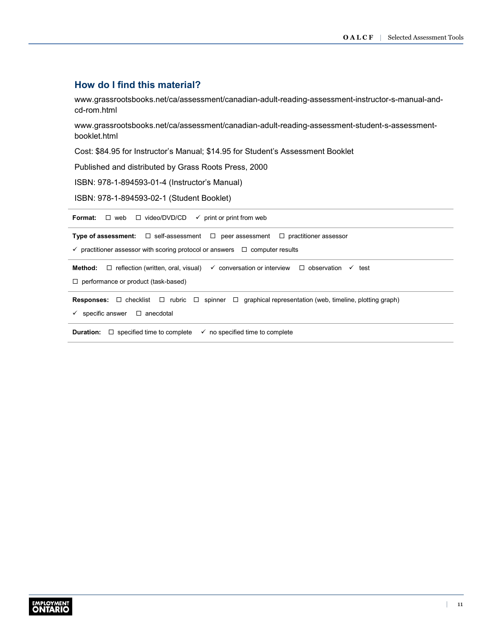### **How do I find this material?**

[www.grassrootsbooks.net/ca/assessment/canadian-adult-reading-assessment-instructor-s-manual-and](http://www.grassrootsbooks.net/ca/assessment/canadian-adult-reading-assessment-instructor-s-manual-and-cd-rom.html)cd-rom.html

[www.grassrootsbooks.net/ca/assessment/canadian-adult-reading-assessment-student-s-assessment](http://www.grassrootsbooks.net/ca/assessment/canadian-adult-reading-assessment-student-s-assessment-booklet.html)booklet.html

Cost: \$84.95 for Instructor's Manual; \$14.95 for Student's Assessment Booklet

Published and distributed by Grass Roots Press, 2000

ISBN: 978-1-894593-01-4 (Instructor's Manual)

ISBN: 978-1-894593-02-1 (Student Booklet)

**Format:**  $\Box$  web  $\Box$  video/DVD/CD  $\checkmark$  print or print from web **Type of assessment:**  $\Box$  self-assessment  $\Box$  peer assessment  $\Box$  practitioner assessor  $\checkmark$  practitioner assessor with scoring protocol or answers  $\Box$  computer results **Method:** □ reflection (written, oral, visual)  $\checkmark$  conversation or interview □ observation  $\checkmark$  test □ performance or product (task-based) **Responses:** □ checklist □ rubric □ spinner □ graphical representation (web, timeline, plotting graph)  $\checkmark$  specific answer  $\Box$  anecdotal **Duration:**  $\Box$  specified time to complete  $\checkmark$  no specified time to complete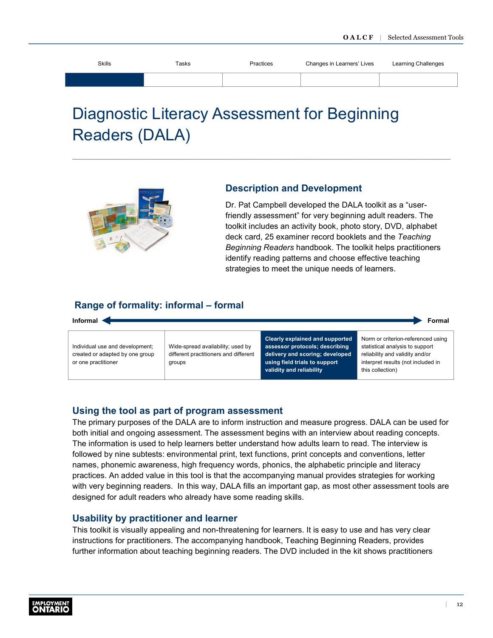<span id="page-14-0"></span>

| Skills | Tasks | Practices | Changes in Learners' Lives | Learning Challenges |
|--------|-------|-----------|----------------------------|---------------------|
|        |       |           |                            |                     |
|        |       |           |                            |                     |

# Diagnostic Literacy Assessment for Beginning Readers (DALA)



# **Description and Development**

Dr. Pat Campbell developed the DALA toolkit as a "userfriendly assessment" for very beginning adult readers. The toolkit includes an activity book, photo story, DVD, alphabet deck card, 25 examiner record booklets and the *Teaching Beginning Readers* handbook. The toolkit helps practitioners identify reading patterns and choose effective teaching strategies to meet the unique needs of learners.

# **Range of formality: informal – formal**



# **Using the tool as part of program assessment**

The primary purposes of the DALA are to inform instruction and measure progress. DALA can be used for both initial and ongoing assessment. The assessment begins with an interview about reading concepts. The information is used to help learners better understand how adults learn to read. The interview is followed by nine subtests: environmental print, text functions, print concepts and conventions, letter names, phonemic awareness, high frequency words, phonics, the alphabetic principle and literacy practices. An added value in this tool is that the accompanying manual provides strategies for working with very beginning readers. In this way, DALA fills an important gap, as most other assessment tools are designed for adult readers who already have some reading skills.

# **Usability by practitioner and learner**

This toolkit is visually appealing and non-threatening for learners. It is easy to use and has very clear instructions for practitioners. The accompanying handbook, Teaching Beginning Readers, provides further information about teaching beginning readers. The DVD included in the kit shows practitioners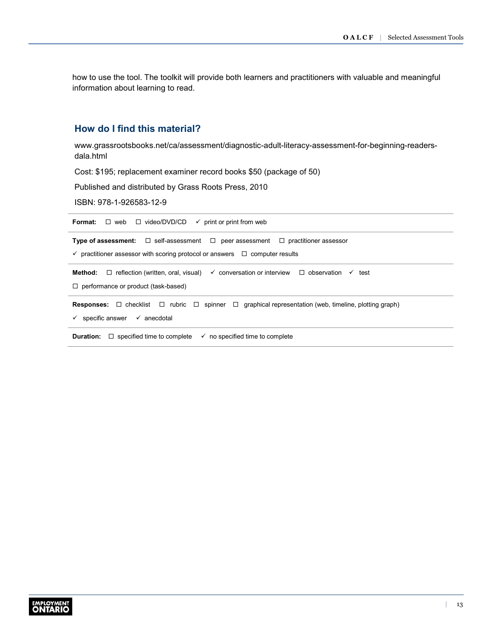how to use the tool. The toolkit will provide both learners and practitioners with valuable and meaningful information about learning to read.

# **How do I find this material?**

[www.grassrootsbooks.net/ca/assessment/diagnostic-adult-literacy-assessment-for-beginning-readers](http://www.grassrootsbooks.net/ca/assessment/diagnostic-adult-literacy-assessment-for-beginning-readers-dala.html)dala.html

Cost: \$195; replacement examiner record books \$50 (package of 50)

Published and distributed by Grass Roots Press, 2010

ISBN: 978-1-926583-12-9

| <b>Format:</b> $\Box$ web $\Box$ video/DVD/CD $\checkmark$ print or print from web                                                                                                                   |  |  |  |  |
|------------------------------------------------------------------------------------------------------------------------------------------------------------------------------------------------------|--|--|--|--|
| <b>Type of assessment:</b> $\Box$ self-assessment $\Box$ peer assessment $\Box$ practitioner assessor<br>$\checkmark$ practitioner assessor with scoring protocol or answers $\Box$ computer results |  |  |  |  |
| <b>Method:</b> $\Box$ reflection (written, oral, visual) $\checkmark$ conversation or interview $\Box$ observation<br>$\checkmark$ test<br>$\Box$ performance or product (task-based)                |  |  |  |  |
| <b>Responses:</b> $\Box$ checklist $\Box$ rubric $\Box$ spinner $\Box$ graphical representation (web, timeline, plotting graph)<br>$\checkmark$ specific answer $\checkmark$ anecdotal               |  |  |  |  |
| <b>Duration:</b> $\Box$ specified time to complete<br>$\checkmark$ no specified time to complete                                                                                                     |  |  |  |  |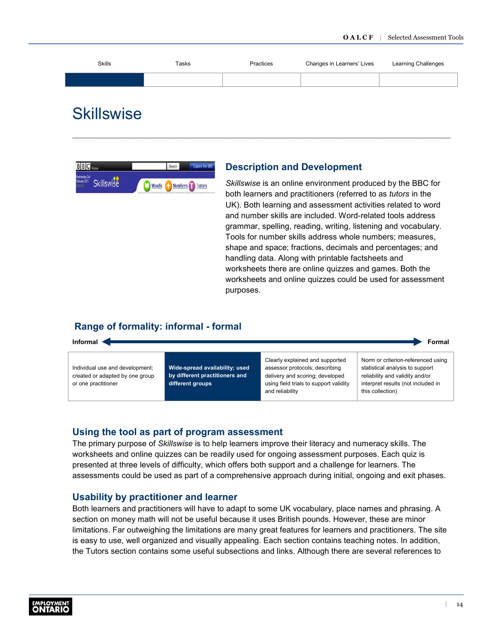<span id="page-16-0"></span>

| <b>Skills</b> | Tasks | Practices | Changes in Learners' Lives | Learning Challenges |
|---------------|-------|-----------|----------------------------|---------------------|
|               |       |           |                            |                     |
|               |       |           |                            |                     |

# **Skillswise**



#### **Description and Development**

*Skillswise* is an online environment produced by the BBC for both learners and practitioners (referred to as *tutors* in the UK). Both learning and assessment activities related to word and number skills are included. Word-related tools address grammar, spelling, reading, writing, listening and vocabulary. Tools for number skills address whole numbers; measures, shape and space; fractions, decimals and percentages; and handling data. Along with printable factsheets and worksheets there are online quizzes and games. Both the worksheets and online quizzes could be used for assessment purposes.

### **Range of formality: informal - formal**



#### **Using the tool as part of program assessment**

The primary purpose of *Skillswise* is to help learners improve their literacy and numeracy skills. The worksheets and online quizzes can be readily used for ongoing assessment purposes. Each quiz is presented at three levels of difficulty, which offers both support and a challenge for learners. The assessments could be used as part of a comprehensive approach during initial, ongoing and exit phases.

#### **Usability by practitioner and learner**

Both learners and practitioners will have to adapt to some UK vocabulary, place names and phrasing. A section on money math will not be useful because it uses British pounds. However, these are minor limitations. Far outweighing the limitations are many great features for learners and practitioners. The site is easy to use, well organized and visually appealing. Each section contains teaching notes. In addition, the Tutors section contains some useful subsections and links. Although there are several references to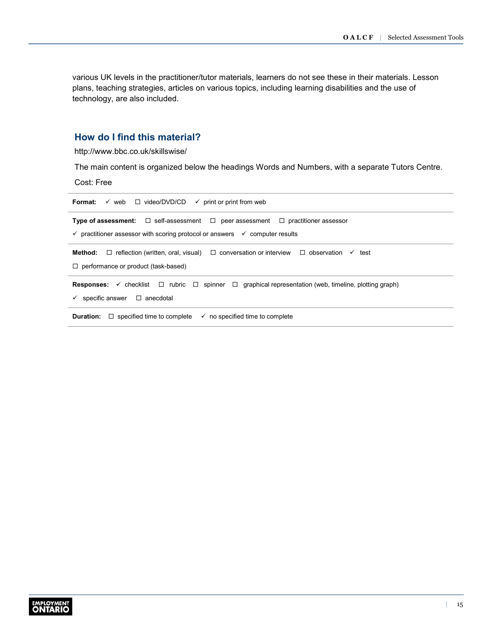various UK levels in the practitioner/tutor materials, learners do not see these in their materials. Lesson plans, teaching strategies, articles on various topics, including learning disabilities and the use of technology, are also included.

# **How do I find this material?**

<http://www.bbc.co.uk/skillswise/>

The main content is organized below the headings Words and Numbers, with a separate Tutors Centre.

Cost: Free

| v web □ video/DVD/CD<br>Format:<br>$\checkmark$ print or print from web                                                               |  |  |  |  |
|---------------------------------------------------------------------------------------------------------------------------------------|--|--|--|--|
| <b>Type of assessment:</b> $\Box$ self-assessment $\Box$ peer assessment $\Box$ practitioner assessor                                 |  |  |  |  |
| $\checkmark$ practitioner assessor with scoring protocol or answers $\checkmark$ computer results                                     |  |  |  |  |
| Method:<br>$\Box$ reflection (written, oral, visual) $\Box$ conversation or interview $\Box$ observation $\checkmark$<br>test         |  |  |  |  |
| $\Box$ performance or product (task-based)                                                                                            |  |  |  |  |
| <b>Responses:</b> $\checkmark$ checklist $\Box$ rubric $\Box$ spinner $\Box$ graphical representation (web, timeline, plotting graph) |  |  |  |  |
| $\checkmark$ specific answer $\Box$ anecdotal                                                                                         |  |  |  |  |
| $\Box$ specified time to complete<br>$\checkmark$ no specified time to complete<br>Duration:                                          |  |  |  |  |
|                                                                                                                                       |  |  |  |  |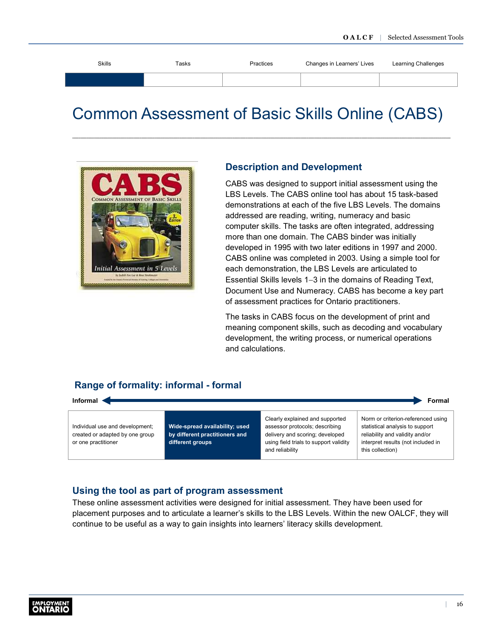<span id="page-18-0"></span>

| <b>Skills</b> | Tasks | Practices | Changes in Learners' Lives | Learning Challenges |
|---------------|-------|-----------|----------------------------|---------------------|
|               |       |           |                            |                     |
|               |       |           |                            |                     |

# Common Assessment of Basic Skills Online (CABS)



#### **Description and Development**

CABS was designed to support initial assessment using the LBS Levels. The CABS online tool has about 15 task-based demonstrations at each of the five LBS Levels. The domains addressed are reading, writing, numeracy and basic computer skills. The tasks are often integrated, addressing more than one domain. The CABS binder was initially developed in 1995 with two later editions in 1997 and 2000. CABS online was completed in 2003. Using a simple tool for each demonstration, the LBS Levels are articulated to Essential Skills levels 1−3 in the domains of Reading Text, Document Use and Numeracy. CABS has become a key part of assessment practices for Ontario practitioners.

The tasks in CABS focus on the development of print and meaning component skills, such as decoding and vocabulary development, the writing process, or numerical operations and calculations.

# **Range of formality: informal - formal**



### **Using the tool as part of program assessment**

These online assessment activities were designed for initial assessment. They have been used for placement purposes and to articulate a learner's skills to the LBS Levels. Within the new OALCF, they will continue to be useful as a way to gain insights into learners' literacy skills development.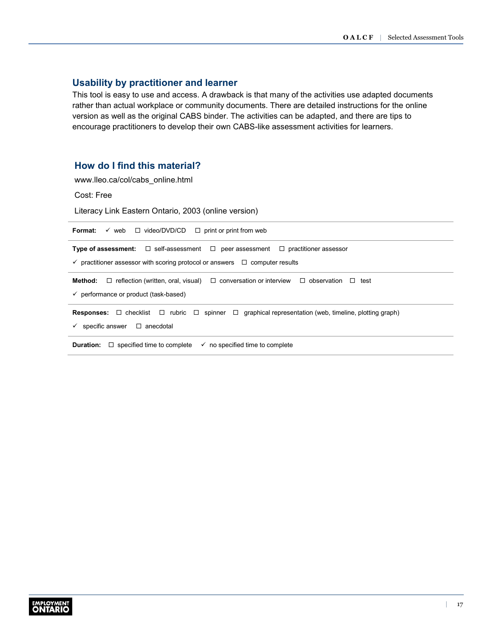### **Usability by practitioner and learner**

This tool is easy to use and access. A drawback is that many of the activities use adapted documents rather than actual workplace or community documents. There are detailed instructions for the online version as well as the original CABS binder. The activities can be adapted, and there are tips to encourage practitioners to develop their own CABS-like assessment activities for learners.

# **How do I find this material?**

[www.lleo.ca/col/cabs\\_online.html](http://www.lleo.ca/col/cabs_online.html)

Cost: Free

Literacy Link Eastern Ontario, 2003 (online version)

| $\checkmark$ web $\Box$ video/DVD/CD $\Box$ print or print from web<br>Format:                                                                                                                       |  |  |  |  |
|------------------------------------------------------------------------------------------------------------------------------------------------------------------------------------------------------|--|--|--|--|
| <b>Type of assessment:</b> $\Box$ self-assessment $\Box$ peer assessment $\Box$ practitioner assessor<br>$\checkmark$ practitioner assessor with scoring protocol or answers $\Box$ computer results |  |  |  |  |
| <b>Method:</b> $\Box$ reflection (written, oral, visual) $\Box$ conversation or interview $\Box$ observation $\Box$<br>test<br>$\checkmark$ performance or product (task-based)                      |  |  |  |  |
| <b>Responses:</b> $\Box$ checklist $\Box$ rubric $\Box$ spinner $\Box$ graphical representation (web, timeline, plotting graph)<br>specific answer<br>$\Box$ anecdotal<br>✓                          |  |  |  |  |
| <b>Duration:</b> $\Box$ specified time to complete<br>$\checkmark$ no specified time to complete                                                                                                     |  |  |  |  |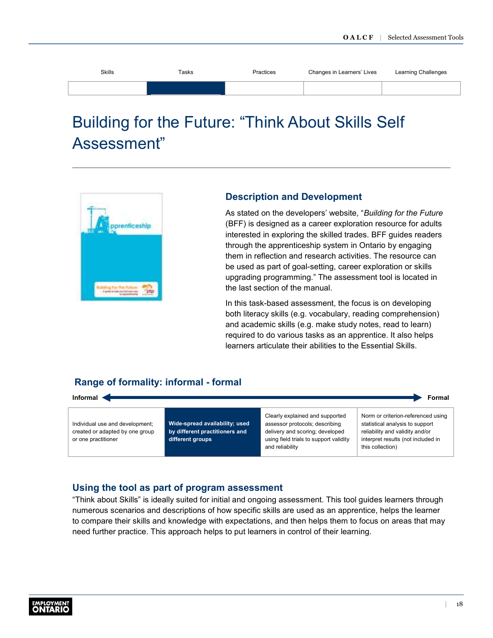<span id="page-20-0"></span>

| <b>Skills</b> | Tasks | Practices | Changes in Learners' Lives | Learning Challenges |
|---------------|-------|-----------|----------------------------|---------------------|
|               |       |           |                            |                     |

# Building for the Future: "Think About Skills Self Assessment"

![](_page_20_Picture_3.jpeg)

### **Description and Development**

As stated on the developers' website, "*Building for the Future* (BFF) is designed as a career exploration resource for adults interested in exploring the skilled trades. BFF guides readers through the apprenticeship system in Ontario by engaging them in reflection and research activities. The resource can be used as part of goal-setting, career exploration or skills upgrading programming." The assessment tool is located in the last section of the manual.

In this task-based assessment, the focus is on developing both literacy skills (e.g. vocabulary, reading comprehension) and academic skills (e.g. make study notes, read to learn) required to do various tasks as an apprentice. It also helps learners articulate their abilities to the Essential Skills.

# **Range of formality: informal - formal**

| Informal <<br>Formal                                                                      |                                                                                      |                                                                                                                                                                   |                                                                                                                                                                    |  |
|-------------------------------------------------------------------------------------------|--------------------------------------------------------------------------------------|-------------------------------------------------------------------------------------------------------------------------------------------------------------------|--------------------------------------------------------------------------------------------------------------------------------------------------------------------|--|
| Individual use and development;<br>created or adapted by one group<br>or one practitioner | Wide-spread availability; used<br>by different practitioners and<br>different groups | Clearly explained and supported<br>assessor protocols; describing<br>delivery and scoring; developed<br>using field trials to support validity<br>and reliability | Norm or criterion-referenced using<br>statistical analysis to support<br>reliability and validity and/or<br>interpret results (not included in<br>this collection) |  |

### **Using the tool as part of program assessment**

"Think about Skills" is ideally suited for initial and ongoing assessment. This tool guides learners through numerous scenarios and descriptions of how specific skills are used as an apprentice, helps the learner to compare their skills and knowledge with expectations, and then helps them to focus on areas that may need further practice. This approach helps to put learners in control of their learning.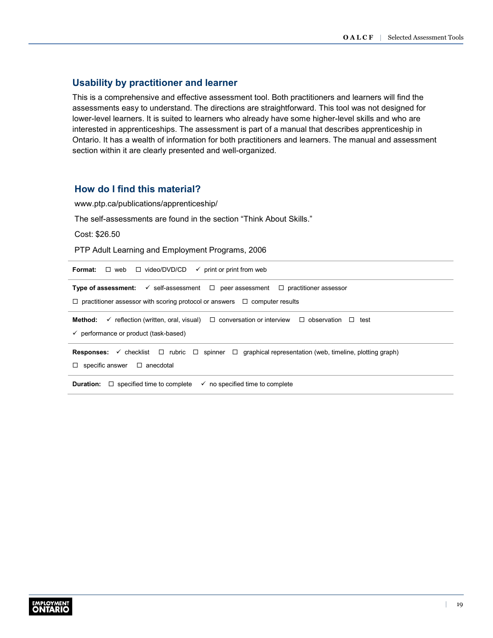### **Usability by practitioner and learner**

This is a comprehensive and effective assessment tool. Both practitioners and learners will find the assessments easy to understand. The directions are straightforward. This tool was not designed for lower-level learners. It is suited to learners who already have some higher-level skills and who are interested in apprenticeships. The assessment is part of a manual that describes apprenticeship in Ontario. It has a wealth of information for both practitioners and learners. The manual and assessment section within it are clearly presented and well-organized.

### **How do I find this material?**

[www.ptp.ca/publications/apprenticeship/](http://www.ptp.ca/publications/apprenticeship/)

The self-assessments are found in the section "Think About Skills."

Cost: \$26.50

PTP Adult Learning and Employment Programs, 2006

**Format:**  $\Box$  web  $\Box$  video/DVD/CD  $\checkmark$  print or print from web **Type of assessment:**  $\checkmark$  self-assessment  $\Box$  peer assessment  $\Box$  practitioner assessor  $\Box$  practitioner assessor with scoring protocol or answers  $\Box$  computer results **Method:**  $\checkmark$  reflection (written, oral, visual)  $\Box$  conversation or interview  $\Box$  observation  $\Box$  test **Responses:** ✓ checklist □ rubric □ spinner □ graphical representation (web, timeline, plotting graph)  $\Box$  specific answer  $\Box$  anecdotal **Duration:**  $\Box$  specified time to complete  $\checkmark$  no specified time to complete  $\checkmark$  performance or product (task-based)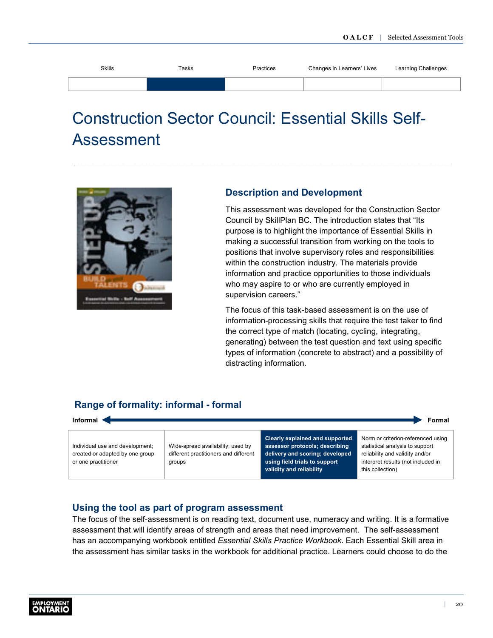<span id="page-22-0"></span>

| <b>Skills</b> | Tasks | Practices | Changes in Learners' Lives | Learning Challenges |
|---------------|-------|-----------|----------------------------|---------------------|
|               |       |           |                            |                     |

# Construction Sector Council: Essential Skills Self-Assessment

![](_page_22_Picture_3.jpeg)

### **Description and Development**

This assessment was developed for the Construction Sector Council by SkillPlan BC. The introduction states that "Its purpose is to highlight the importance of Essential Skills in making a successful transition from working on the tools to positions that involve supervisory roles and responsibilities within the construction industry. The materials provide information and practice opportunities to those individuals who may aspire to or who are currently employed in supervision careers."

The focus of this task-based assessment is on the use of information-processing skills that require the test taker to find the correct type of match (locating, cycling, integrating, generating) between the test question and text using specific types of information (concrete to abstract) and a possibility of distracting information.

this collection)

# **Range of formality: informal - formal**

| Informal<br>Formal              |                                       |                                                                   |                                                                       |
|---------------------------------|---------------------------------------|-------------------------------------------------------------------|-----------------------------------------------------------------------|
| Individual use and development; | Wide-spread availability; used by     | Clearly explained and supported<br>assessor protocols; describing | Norm or criterion-referenced using<br>statistical analysis to support |
| created or adapted by one group | different practitioners and different | delivery and scoring; developed                                   | reliability and validity and/or                                       |
| or one practitioner             | groups                                | using field trials to support                                     | interpret results (not included in                                    |

**validity and reliability**

# **Using the tool as part of program assessment**

The focus of the self-assessment is on reading text, document use, numeracy and writing. It is a formative assessment that will identify areas of strength and areas that need improvement. The self-assessment has an accompanying workbook entitled *Essential Skills Practice Workbook*. Each Essential Skill area in the assessment has similar tasks in the workbook for additional practice. Learners could choose to do the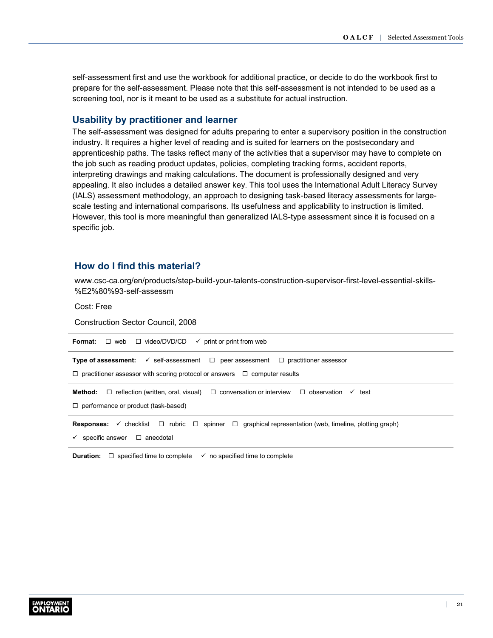self-assessment first and use the workbook for additional practice, or decide to do the workbook first to prepare for the self-assessment. Please note that this self-assessment is not intended to be used as a screening tool, nor is it meant to be used as a substitute for actual instruction.

### **Usability by practitioner and learner**

The self-assessment was designed for adults preparing to enter a supervisory position in the construction industry. It requires a higher level of reading and is suited for learners on the postsecondary and apprenticeship paths. The tasks reflect many of the activities that a supervisor may have to complete on the job such as reading product updates, policies, completing tracking forms, accident reports, interpreting drawings and making calculations. The document is professionally designed and very appealing. It also includes a detailed answer key. This tool uses the International Adult Literacy Survey (IALS) assessment methodology, an approach to designing task-based literacy assessments for largescale testing and international comparisons. Its usefulness and applicability to instruction is limited. However, this tool is more meaningful than generalized IALS-type assessment since it is focused on a specific job.

# **How do I find this material?**

[www.csc-ca.org/en/products/step-build-your-talents-construction-supervisor-first-level-essential-skills-](http://www.nald.ca/library/learning/csc/es_self_assessment/es_self_assessment.pdf) %E2%80%93-self-assessm

Cost: Free

Construction Sector Council, 2008

| <b>Format:</b> $\Box$ web $\Box$ video/DVD/CD $\checkmark$ print or print from web                                                                                                                   |  |  |
|------------------------------------------------------------------------------------------------------------------------------------------------------------------------------------------------------|--|--|
| <b>Type of assessment:</b> $\checkmark$ self-assessment $\Box$ peer assessment $\Box$ practitioner assessor<br>$\Box$ practitioner assessor with scoring protocol or answers $\Box$ computer results |  |  |
| <b>Method:</b> $\Box$ reflection (written, oral, visual) $\Box$ conversation or interview $\Box$ observation $\checkmark$<br>test<br>$\Box$ performance or product (task-based)                      |  |  |
| <b>Responses:</b> $\checkmark$ checklist $\Box$ rubric $\Box$ spinner $\Box$ graphical representation (web, timeline, plotting graph)<br>specific answer $\Box$ anecdotal<br>✓                       |  |  |
| <b>Duration:</b> $\Box$ specified time to complete<br>$\checkmark$ no specified time to complete                                                                                                     |  |  |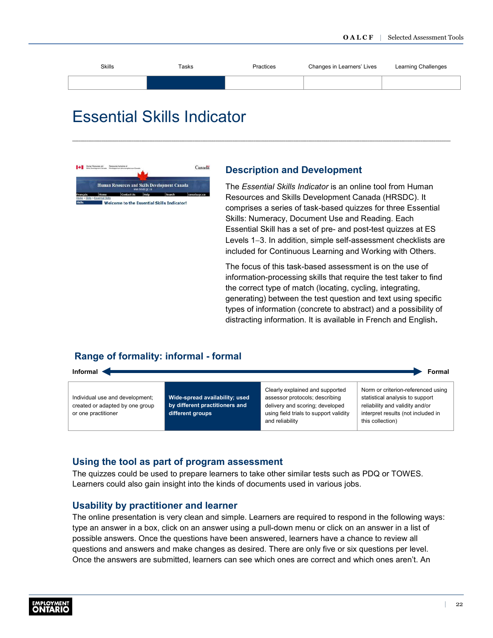<span id="page-24-0"></span>

| <b>Skills</b> | Tasks | Practices | Changes in Learners' Lives | Learning Challenges |
|---------------|-------|-----------|----------------------------|---------------------|
|               |       |           |                            |                     |
|               |       |           |                            |                     |

# Essential Skills Indicator

![](_page_24_Picture_3.jpeg)

### **Description and Development**

The *Essential Skills Indicator* is an online tool from Human Resources and Skills Development Canada (HRSDC). It comprises a series of task-based quizzes for three Essential Skills: Numeracy, Document Use and Reading. Each Essential Skill has a set of pre- and post-test quizzes at ES Levels 1−3. In addition, simple self-assessment checklists are included for Continuous Learning and Working with Others.

The focus of this task-based assessment is on the use of information-processing skills that require the test taker to find the correct type of match (locating, cycling, integrating, generating) between the test question and text using specific types of information (concrete to abstract) and a possibility of distracting information. It is available in French and English**.**

this collection)

# **Range of formality: informal - formal**

![](_page_24_Figure_8.jpeg)

and reliability

# **Using the tool as part of program assessment**

The quizzes could be used to prepare learners to take other similar tests such as PDQ or TOWES. Learners could also gain insight into the kinds of documents used in various jobs.

### **Usability by practitioner and learner**

The online presentation is very clean and simple. Learners are required to respond in the following ways: type an answer in a box, click on an answer using a pull-down menu or click on an answer in a list of possible answers. Once the questions have been answered, learners have a chance to review all questions and answers and make changes as desired. There are only five or six questions per level. Once the answers are submitted, learners can see which ones are correct and which ones aren't. An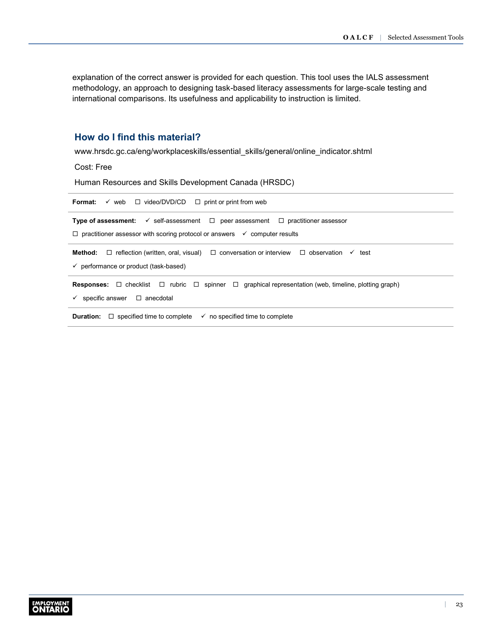explanation of the correct answer is provided for each question. This tool uses the IALS assessment methodology, an approach to designing task-based literacy assessments for large-scale testing and international comparisons. Its usefulness and applicability to instruction is limited.

### **How do I find this material?**

[www.hrsdc.gc.ca/eng/workplaceskills/essential\\_skills/general/online\\_indicator.shtml](http://www.esdc.gc.ca/en/essential_skills/tools/online_indicator.page)

Cost: Free

Human Resources and Skills Development Canada (HRSDC)

| $\checkmark$ web $\Box$ video/DVD/CD $\Box$ print or print from web<br>Format:                                                       |  |  |  |
|--------------------------------------------------------------------------------------------------------------------------------------|--|--|--|
| <b>Type of assessment:</b> $\checkmark$ self-assessment $\Box$ peer assessment $\Box$ practitioner assessor                          |  |  |  |
| $\Box$ practitioner assessor with scoring protocol or answers $\checkmark$ computer results                                          |  |  |  |
| <b>Method:</b> $\Box$ reflection (written, oral, visual) $\Box$ conversation or interview $\Box$ observation<br>$\checkmark$<br>test |  |  |  |
| $\checkmark$ performance or product (task-based)                                                                                     |  |  |  |
| <b>Responses:</b> $\Box$ checklist $\Box$ rubric $\Box$ spinner $\Box$ graphical representation (web, timeline, plotting graph)      |  |  |  |
| specific answer $\Box$ anecdotal<br>$\checkmark$                                                                                     |  |  |  |
| <b>Duration:</b> $\Box$ specified time to complete<br>$\checkmark$ no specified time to complete                                     |  |  |  |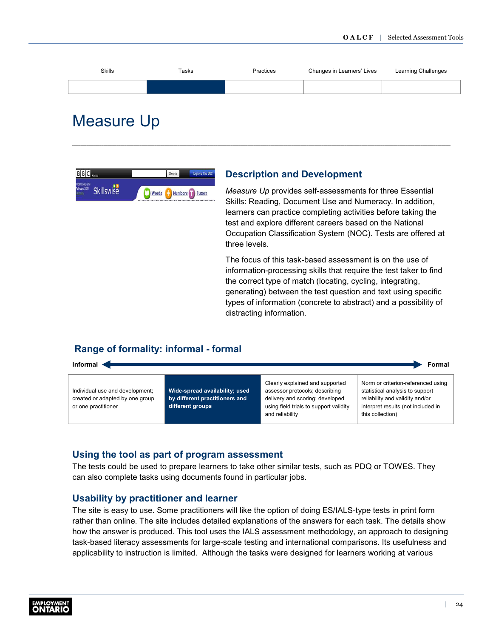<span id="page-26-0"></span>![](_page_26_Figure_1.jpeg)

# Measure Up

![](_page_26_Picture_3.jpeg)

### **Description and Development**

*Measure Up* provides self-assessments for three Essential Skills: Reading, Document Use and Numeracy. In addition, learners can practice completing activities before taking the test and explore different careers based on the National Occupation Classification System (NOC). Tests are offered at three levels.

The focus of this task-based assessment is on the use of information-processing skills that require the test taker to find the correct type of match (locating, cycling, integrating, generating) between the test question and text using specific types of information (concrete to abstract) and a possibility of distracting information.

# **Range of formality: informal - formal**

![](_page_26_Figure_8.jpeg)

### **Using the tool as part of program assessment**

The tests could be used to prepare learners to take other similar tests, such as PDQ or TOWES. They can also complete tasks using documents found in particular jobs.

#### **Usability by practitioner and learner**

The site is easy to use. Some practitioners will like the option of doing ES/IALS-type tests in print form rather than online. The site includes detailed explanations of the answers for each task. The details show how the answer is produced. This tool uses the IALS assessment methodology, an approach to designing task-based literacy assessments for large-scale testing and international comparisons. Its usefulness and applicability to instruction is limited. Although the tasks were designed for learners working at various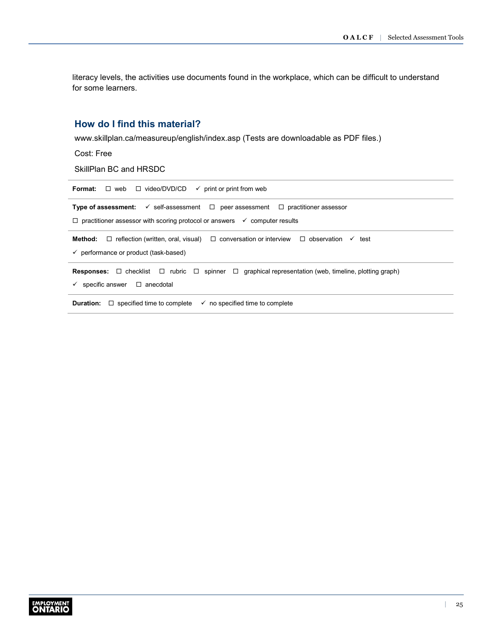literacy levels, the activities use documents found in the workplace, which can be difficult to understand for some learners.

# **How do I find this material?**

[www.skillplan.ca/measureup/english/index.asp](http://www.skillplan.ca/measureup/english/index.asp) (Tests are downloadable as PDF files.)

Cost: Free

SkillPlan BC and HRSDC

| Format:<br>$\Box$ web $\Box$ video/DVD/CD $\checkmark$ print or print from web                                                                                                    |  |  |  |
|-----------------------------------------------------------------------------------------------------------------------------------------------------------------------------------|--|--|--|
| <b>Type of assessment:</b> $\checkmark$ self-assessment $\Box$ peer assessment $\Box$ practitioner assessor                                                                       |  |  |  |
| $\Box$ practitioner assessor with scoring protocol or answers $\checkmark$ computer results                                                                                       |  |  |  |
| Method:<br>$\Box$ reflection (written, oral, visual) $\Box$ conversation or interview $\Box$ observation $\checkmark$<br>test<br>$\checkmark$ performance or product (task-based) |  |  |  |
| <b>Responses:</b> $\Box$ checklist $\Box$ rubric $\Box$ spinner $\Box$ graphical representation (web, timeline, plotting graph)<br>$\Box$ anecdotal<br>specific answer            |  |  |  |
| <b>Duration:</b><br>$\Box$ specified time to complete<br>$\checkmark$ no specified time to complete                                                                               |  |  |  |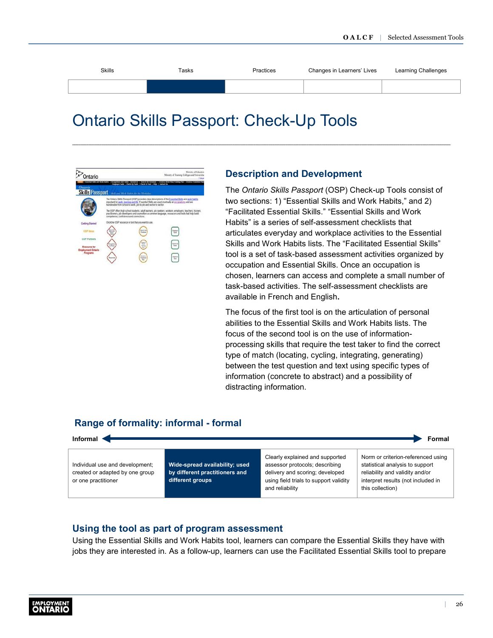<span id="page-28-0"></span>

| <b>Skills</b> | Tasks | Practices | Changes in Learners' Lives | Learning Challenges |
|---------------|-------|-----------|----------------------------|---------------------|
|               |       |           |                            |                     |
|               |       |           |                            |                     |

# Ontario Skills Passport: Check-Up Tools

![](_page_28_Picture_3.jpeg)

### **Description and Development**

The *Ontario Skills Passport* (OSP) Check-up Tools consist of two sections: 1) "Essential Skills and Work Habits," and 2) "Facilitated Essential Skills." "Essential Skills and Work Habits" is a series of self-assessment checklists that articulates everyday and workplace activities to the Essential Skills and Work Habits lists. The "Facilitated Essential Skills" tool is a set of task-based assessment activities organized by occupation and Essential Skills. Once an occupation is chosen, learners can access and complete a small number of task-based activities. The self-assessment checklists are available in French and English**.**

The focus of the first tool is on the articulation of personal abilities to the Essential Skills and Work Habits lists. The focus of the second tool is on the use of informationprocessing skills that require the test taker to find the correct type of match (locating, cycling, integrating, generating) between the test question and text using specific types of information (concrete to abstract) and a possibility of distracting information.

### **Range of formality: informal - formal**

![](_page_28_Figure_8.jpeg)

### **Using the tool as part of program assessment**

Using the Essential Skills and Work Habits tool, learners can compare the Essential Skills they have with jobs they are interested in. As a follow-up, learners can use the Facilitated Essential Skills tool to prepare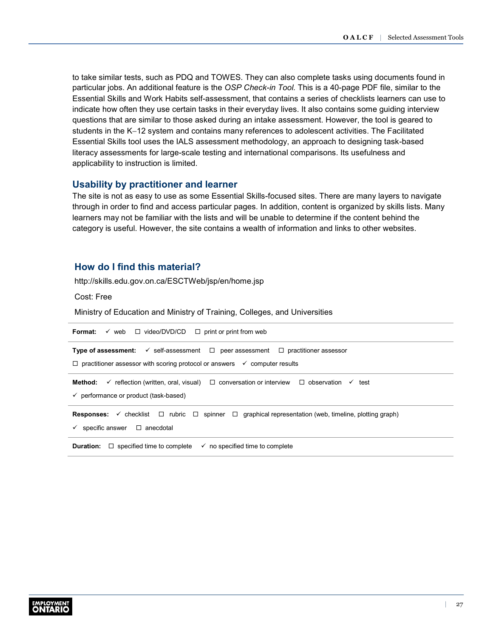to take similar tests, such as PDQ and TOWES. They can also complete tasks using documents found in particular jobs. An additional feature is the *OSP Check-in Tool.* This is a 40-page PDF file, similar to the Essential Skills and Work Habits self-assessment, that contains a series of checklists learners can use to indicate how often they use certain tasks in their everyday lives. It also contains some guiding interview questions that are similar to those asked during an intake assessment. However, the tool is geared to students in the K−12 system and contains many references to adolescent activities. The Facilitated Essential Skills tool uses the IALS assessment methodology, an approach to designing task-based literacy assessments for large-scale testing and international comparisons. Its usefulness and applicability to instruction is limited.

#### **Usability by practitioner and learner**

The site is not as easy to use as some Essential Skills-focused sites. There are many layers to navigate through in order to find and access particular pages. In addition, content is organized by skills lists. Many learners may not be familiar with the lists and will be unable to determine if the content behind the category is useful. However, the site contains a wealth of information and links to other websites.

### **How do I find this material?**

[http://skills.edu.gov.on.ca/ESCTWeb/jsp/en/home.jsp](http://www.skills.edu.gov.on.ca/OSP2Web/EDU/SelfAssessmentTestHome.xhtml)

Cost: Free

Ministry of Education and Ministry of Training, Colleges, and Universities

| $\checkmark$ web $\Box$ video/DVD/CD<br>$\Box$ print or print from web<br>Format:                                                                                                                          |  |  |  |
|------------------------------------------------------------------------------------------------------------------------------------------------------------------------------------------------------------|--|--|--|
| <b>Type of assessment:</b> $\checkmark$ self-assessment $\Box$ peer assessment $\Box$ practitioner assessor<br>$\Box$ practitioner assessor with scoring protocol or answers $\checkmark$ computer results |  |  |  |
| $\checkmark$ reflection (written, oral, visual) $\Box$ conversation or interview $\Box$ observation<br>Method:<br>test<br>$\checkmark$<br>$\checkmark$ performance or product (task-based)                 |  |  |  |
| $\checkmark$ checklist $\Box$ rubric $\Box$ spinner $\Box$ graphical representation (web, timeline, plotting graph)<br><b>Responses:</b><br>$\Box$ anecdotal<br>specific answer                            |  |  |  |
| $\Box$ specified time to complete<br>$\checkmark$ no specified time to complete<br><b>Duration:</b>                                                                                                        |  |  |  |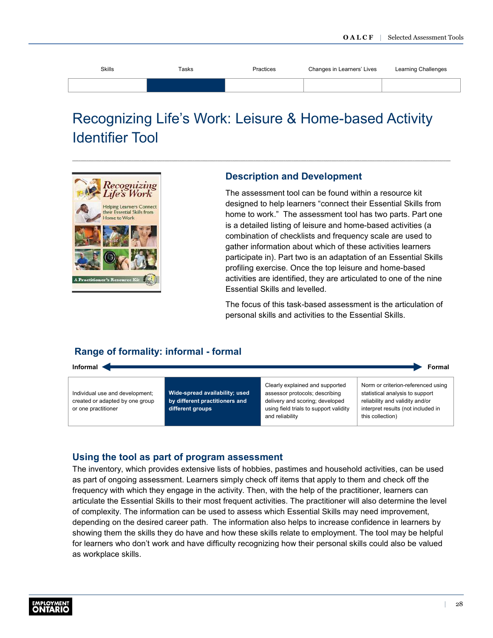<span id="page-30-0"></span>

| Skills | Tasks | Practices | Changes in Learners' Lives | Learning Challenges |
|--------|-------|-----------|----------------------------|---------------------|
|        |       |           |                            |                     |

# Recognizing Life's Work: Leisure & Home-based Activity Identifier Tool

![](_page_30_Picture_3.jpeg)

### **Description and Development**

The assessment tool can be found within a resource kit designed to help learners "connect their Essential Skills from home to work." The assessment tool has two parts. Part one is a detailed listing of leisure and home-based activities (a combination of checklists and frequency scale are used to gather information about which of these activities learners participate in). Part two is an adaptation of an Essential Skills profiling exercise. Once the top leisure and home-based activities are identified, they are articulated to one of the nine Essential Skills and levelled.

The focus of this task-based assessment is the articulation of personal skills and activities to the Essential Skills.

# **Range of formality: informal - formal**

![](_page_30_Figure_8.jpeg)

### **Using the tool as part of program assessment**

The inventory, which provides extensive lists of hobbies, pastimes and household activities, can be used as part of ongoing assessment. Learners simply check off items that apply to them and check off the frequency with which they engage in the activity. Then, with the help of the practitioner, learners can articulate the Essential Skills to their most frequent activities. The practitioner will also determine the level of complexity. The information can be used to assess which Essential Skills may need improvement, depending on the desired career path. The information also helps to increase confidence in learners by showing them the skills they do have and how these skills relate to employment. The tool may be helpful for learners who don't work and have difficulty recognizing how their personal skills could also be valued as workplace skills.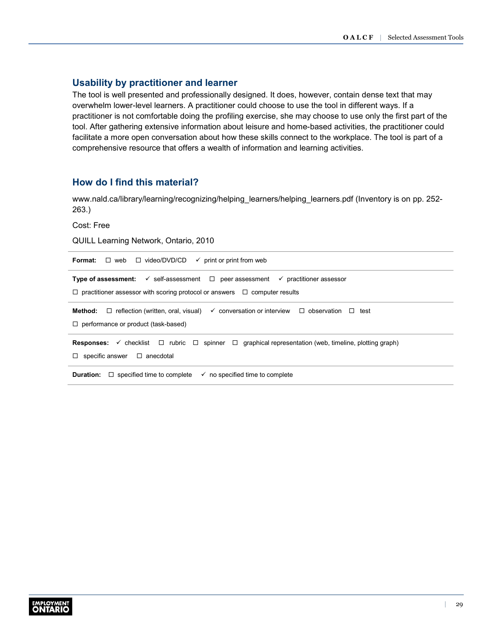### **Usability by practitioner and learner**

The tool is well presented and professionally designed. It does, however, contain dense text that may overwhelm lower-level learners. A practitioner could choose to use the tool in different ways. If a practitioner is not comfortable doing the profiling exercise, she may choose to use only the first part of the tool. After gathering extensive information about leisure and home-based activities, the practitioner could facilitate a more open conversation about how these skills connect to the workplace. The tool is part of a comprehensive resource that offers a wealth of information and learning activities.

# **How do I find this material?**

[www.nald.ca/library/learning/recognizing/helping\\_learners/helping\\_learners.pdf](http://www.nald.ca/library/learning/recognizing/helping_learners/helping_learners.pdf) (Inventory is on pp. 252- 263.)

Cost: Free

QUILL Learning Network, Ontario, 2010

| <b>Format:</b> $\Box$ web $\Box$ video/DVD/CD<br>$\checkmark$ print or print from web                                                                                                                      |  |  |  |
|------------------------------------------------------------------------------------------------------------------------------------------------------------------------------------------------------------|--|--|--|
| <b>Type of assessment:</b> $\checkmark$ self-assessment $\Box$ peer assessment $\checkmark$ practitioner assessor<br>$\Box$ practitioner assessor with scoring protocol or answers $\Box$ computer results |  |  |  |
| <b>Method:</b> $\Box$ reflection (written, oral, visual) $\checkmark$ conversation or interview $\Box$ observation $\Box$ test<br>$\Box$ performance or product (task-based)                               |  |  |  |
| <b>Responses:</b> $\checkmark$ checklist $\Box$ rubric $\Box$ spinner $\Box$ graphical representation (web, timeline, plotting graph)<br>$\Box$ specific answer $\Box$ anecdotal                           |  |  |  |
| <b>Duration:</b> $\Box$ specified time to complete<br>$\checkmark$ no specified time to complete                                                                                                           |  |  |  |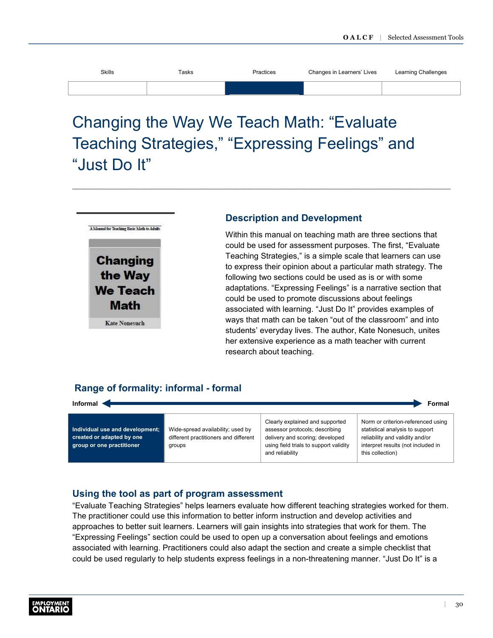<span id="page-32-0"></span>

| <b>Skills</b> | Tasks | Practices | Changes in Learners' Lives | Learning Challenges |
|---------------|-------|-----------|----------------------------|---------------------|
|               |       |           |                            |                     |

# Changing the Way We Teach Math: "Evaluate Teaching Strategies," "Expressing Feelings" and "Just Do It"

![](_page_32_Picture_3.jpeg)

### **Description and Development**

Within this manual on teaching math are three sections that could be used for assessment purposes. The first, "Evaluate Teaching Strategies," is a simple scale that learners can use to express their opinion about a particular math strategy. The following two sections could be used as is or with some adaptations. "Expressing Feelings" is a narrative section that could be used to promote discussions about feelings associated with learning. "Just Do It" provides examples of ways that math can be taken "out of the classroom" and into students' everyday lives. The author, Kate Nonesuch, unites her extensive experience as a math teacher with current research about teaching.

# **Range of formality: informal - formal**

| Informal <<br>Formal                                                                      |                                                                                      |                                                                                                                                                                   |                                                                                                                                                                    |  |
|-------------------------------------------------------------------------------------------|--------------------------------------------------------------------------------------|-------------------------------------------------------------------------------------------------------------------------------------------------------------------|--------------------------------------------------------------------------------------------------------------------------------------------------------------------|--|
| Individual use and development;<br>created or adapted by one<br>group or one practitioner | Wide-spread availability; used by<br>different practitioners and different<br>groups | Clearly explained and supported<br>assessor protocols; describing<br>delivery and scoring; developed<br>using field trials to support validity<br>and reliability | Norm or criterion-referenced using<br>statistical analysis to support<br>reliability and validity and/or<br>interpret results (not included in<br>this collection) |  |

### **Using the tool as part of program assessment**

"Evaluate Teaching Strategies" helps learners evaluate how different teaching strategies worked for them. The practitioner could use this information to better inform instruction and develop activities and approaches to better suit learners. Learners will gain insights into strategies that work for them. The "Expressing Feelings" section could be used to open up a conversation about feelings and emotions associated with learning. Practitioners could also adapt the section and create a simple checklist that could be used regularly to help students express feelings in a non-threatening manner. "Just Do It" is a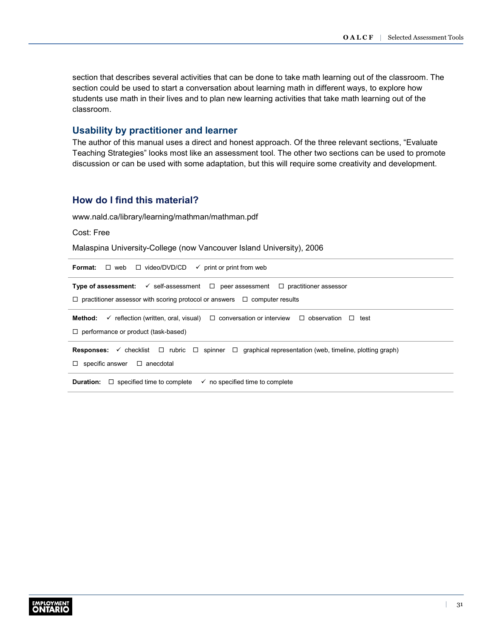section that describes several activities that can be done to take math learning out of the classroom. The section could be used to start a conversation about learning math in different ways, to explore how students use math in their lives and to plan new learning activities that take math learning out of the classroom.

### **Usability by practitioner and learner**

The author of this manual uses a direct and honest approach. Of the three relevant sections, "Evaluate Teaching Strategies" looks most like an assessment tool. The other two sections can be used to promote discussion or can be used with some adaptation, but this will require some creativity and development.

### **How do I find this material?**

[www.nald.ca/library/learning/mathman/mathman.pdf](http://www.nald.ca/library/learning/mathman/mathman.pdf)

Cost: Free

Malaspina University-College (now Vancouver Island University), 2006

**Format:** □ web □ video/DVD/CD print or print from web

**Type of assessment:**  $\checkmark$  self-assessment  $\Box$  peer assessment  $\Box$  practitioner assessor  $\Box$  practitioner assessor with scoring protocol or answers  $\Box$  computer results **Method:**  $\checkmark$  reflection (written, oral, visual)  $\Box$  conversation or interview  $\Box$  observation  $\Box$  test □ performance or product (task-based)

**Responses:** ✓ checklist □ rubric □ spinner □ graphical representation (web, timeline, plotting graph)

 $\Box$  specific answer  $\Box$  anecdotal

**Duration:**  $\Box$  specified time to complete  $\checkmark$  no specified time to complete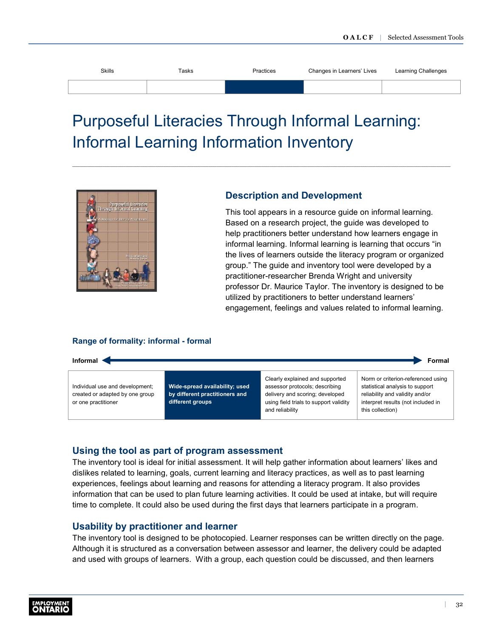<span id="page-34-0"></span>

| Skills | Tasks | Practices | Changes in Learners' Lives | Learning Challenges |
|--------|-------|-----------|----------------------------|---------------------|
|        |       |           |                            |                     |
|        |       |           |                            |                     |

# Purposeful Literacies Through Informal Learning: Informal Learning Information Inventory

![](_page_34_Picture_3.jpeg)

### **Description and Development**

This tool appears in a resource guide on informal learning. Based on a research project, the guide was developed to help practitioners better understand how learners engage in informal learning. Informal learning is learning that occurs "in the lives of learners outside the literacy program or organized group." The guide and inventory tool were developed by a practitioner-researcher Brenda Wright and university professor Dr. Maurice Taylor. The inventory is designed to be utilized by practitioners to better understand learners' engagement, feelings and values related to informal learning.

#### **Range of formality: informal - formal**

**Informal** Formal **Formal** 

Individual use and development; created or adapted by one group or one practitioner

**Wide-spread availability; used by different practitioners and different groups**

Clearly explained and supported assessor protocols; describing delivery and scoring; developed using field trials to support validity and reliability

Norm or criterion-referenced using statistical analysis to support reliability and validity and/or interpret results (not included in this collection)

### **Using the tool as part of program assessment**

The inventory tool is ideal for initial assessment. It will help gather information about learners' likes and dislikes related to learning, goals, current learning and literacy practices, as well as to past learning experiences, feelings about learning and reasons for attending a literacy program. It also provides information that can be used to plan future learning activities. It could be used at intake, but will require time to complete. It could also be used during the first days that learners participate in a program.

### **Usability by practitioner and learner**

The inventory tool is designed to be photocopied. Learner responses can be written directly on the page. Although it is structured as a conversation between assessor and learner, the delivery could be adapted and used with groups of learners. With a group, each question could be discussed, and then learners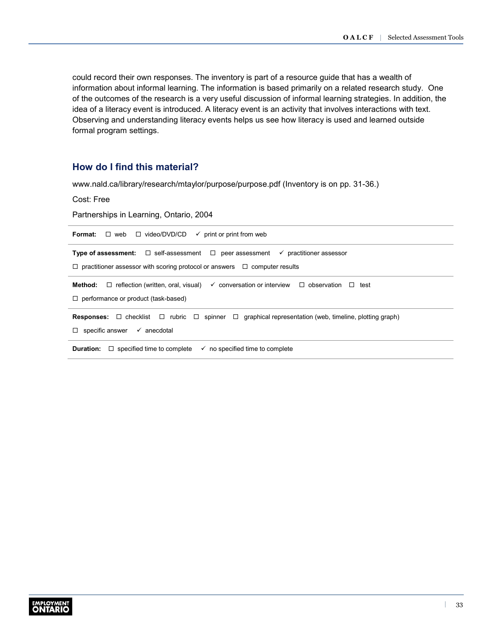could record their own responses. The inventory is part of a resource guide that has a wealth of information about informal learning. The information is based primarily on a related research study. One of the outcomes of the research is a very useful discussion of informal learning strategies. In addition, the idea of a literacy event is introduced. A literacy event is an activity that involves interactions with text. Observing and understanding literacy events helps us see how literacy is used and learned outside formal program settings.

### **How do I find this material?**

[www.nald.ca/library/research/mtaylor/purpose/purpose.pdf](http://www.nald.ca/library/research/mtaylor/purpose/purpose.pdf) (Inventory is on pp. 31-36.)

Cost: Free

Partnerships in Learning, Ontario, 2004

| $\Box$ web $\Box$ video/DVD/CD<br>$\checkmark$ print or print from web<br>Format:                                               |  |  |  |  |
|---------------------------------------------------------------------------------------------------------------------------------|--|--|--|--|
| <b>Type of assessment:</b> $\Box$ self-assessment $\Box$ peer assessment $\checkmark$ practitioner assessor                     |  |  |  |  |
| $\Box$ practitioner assessor with scoring protocol or answers $\Box$ computer results                                           |  |  |  |  |
| $\Box$ reflection (written, oral, visual) $\checkmark$ conversation or interview $\Box$ observation<br>Method:<br>$\Box$ test   |  |  |  |  |
| $\Box$ performance or product (task-based)                                                                                      |  |  |  |  |
| <b>Responses:</b> $\Box$ checklist $\Box$ rubric $\Box$ spinner $\Box$ graphical representation (web, timeline, plotting graph) |  |  |  |  |
| $\Box$ specific answer $\checkmark$ anecdotal                                                                                   |  |  |  |  |
| $\Box$ specified time to complete<br>$\checkmark$ no specified time to complete<br>Duration:                                    |  |  |  |  |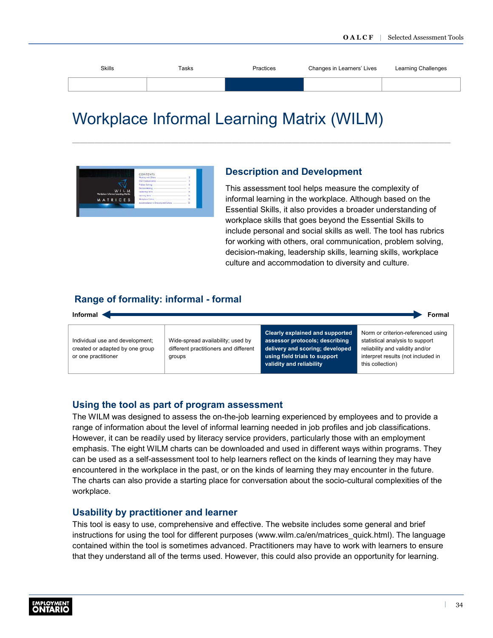<span id="page-36-0"></span>

| Skills | Tasks | Practices | Changes in Learners' Lives | Learning Challenges |
|--------|-------|-----------|----------------------------|---------------------|
|        |       |           |                            |                     |
|        |       |           |                            |                     |

# Workplace Informal Learning Matrix (WILM)

![](_page_36_Picture_3.jpeg)

# **Description and Development**

This assessment tool helps measure the complexity of informal learning in the workplace. Although based on the Essential Skills, it also provides a broader understanding of workplace skills that goes beyond the Essential Skills to include personal and social skills as well. The tool has rubrics for working with others, oral communication, problem solving, decision-making, leadership skills, learning skills, workplace culture and accommodation to diversity and culture.

this collection)

# **Range of formality: informal - formal**

![](_page_36_Figure_7.jpeg)

**validity and reliability**

#### **Using the tool as part of program assessment**

The WILM was designed to assess the on-the-job learning experienced by employees and to provide a range of information about the level of informal learning needed in job profiles and job classifications. However, it can be readily used by literacy service providers, particularly those with an employment emphasis. The eight WILM charts can be downloaded and used in different ways within programs. They can be used as a self-assessment tool to help learners reflect on the kinds of learning they may have encountered in the workplace in the past, or on the kinds of learning they may encounter in the future. The charts can also provide a starting place for conversation about the socio-cultural complexities of the workplace.

#### **Usability by practitioner and learner**

This tool is easy to use, comprehensive and effective. The website includes some general and brief instructions for using the tool for different purposes ([www.wilm.ca/en/matrices\\_quick.html\)](http://www.nald.ca/library/research/mtaylor/purpose/purpose.pdf). The language contained within the tool is sometimes advanced. Practitioners may have to work with learners to ensure that they understand all of the terms used. However, this could also provide an opportunity for learning.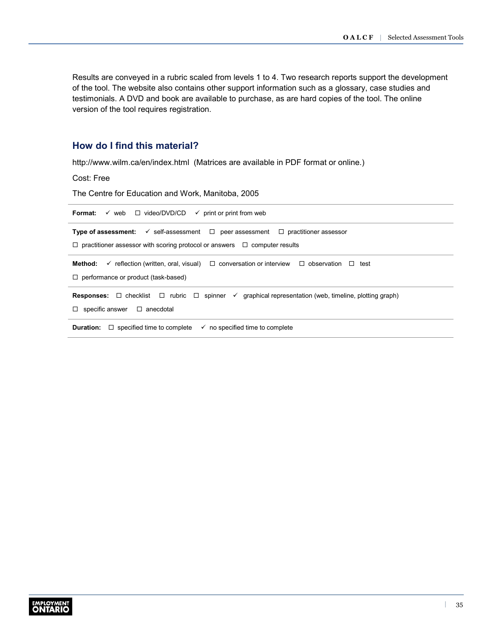Results are conveyed in a rubric scaled from levels 1 to 4. Two research reports support the development of the tool. The website also contains other support information such as a glossary, case studies and testimonials. A DVD and book are available to purchase, as are hard copies of the tool. The online version of the tool requires registration.

# **How do I find this material?**

<http://www.wilm.ca/en/index.html> (Matrices are available in PDF format or online.)

Cost: Free

The Centre for Education and Work, Manitoba, 2005

| $\checkmark$ web $\Box$ video/DVD/CD $\checkmark$ print or print from web<br>Format:                                                  |  |  |  |  |
|---------------------------------------------------------------------------------------------------------------------------------------|--|--|--|--|
| <b>Type of assessment:</b> $\checkmark$ self-assessment $\Box$ peer assessment $\Box$ practitioner assessor                           |  |  |  |  |
| $\Box$ practitioner assessor with scoring protocol or answers $\Box$ computer results                                                 |  |  |  |  |
| $\checkmark$ reflection (written, oral, visual) $\Box$ conversation or interview $\Box$ observation $\Box$ test<br>Method:            |  |  |  |  |
| $\Box$ performance or product (task-based)                                                                                            |  |  |  |  |
| <b>Responses:</b> $\Box$ checklist $\Box$ rubric $\Box$ spinner $\checkmark$ graphical representation (web, timeline, plotting graph) |  |  |  |  |
| $\Box$ specific answer $\Box$ anecdotal                                                                                               |  |  |  |  |
| <b>Duration:</b> $\Box$ specified time to complete<br>$\checkmark$ no specified time to complete                                      |  |  |  |  |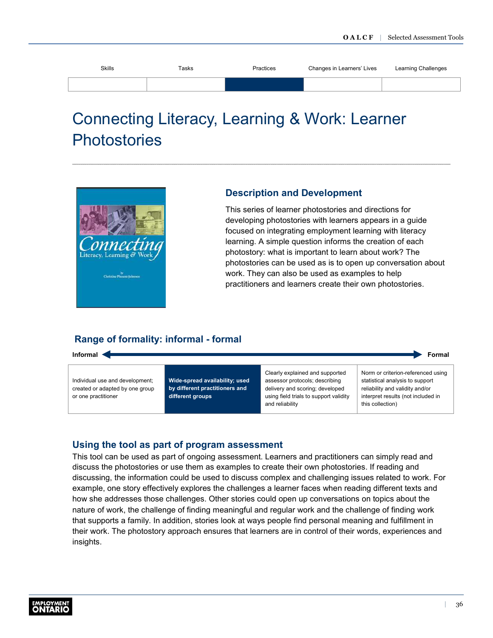<span id="page-38-0"></span>

| <b>Skills</b> | Tasks | Practices | Changes in Learners' Lives | Learning Challenges |
|---------------|-------|-----------|----------------------------|---------------------|
|               |       |           |                            |                     |

# Connecting Literacy, Learning & Work: Learner **Photostories**

![](_page_38_Picture_3.jpeg)

### **Description and Development**

This series of learner photostories and directions for developing photostories with learners appears in a guide focused on integrating employment learning with literacy learning. A simple question informs the creation of each photostory: what is important to learn about work? The photostories can be used as is to open up conversation about work. They can also be used as examples to help practitioners and learners create their own photostories.

# **Range of formality: informal - formal**

**Informal** Formal **Formal** 

Individual use and development; created or adapted by one group or one practitioner

**Wide-spread availability; used by different practitioners and different groups**

Clearly explained and supported assessor protocols; describing delivery and scoring; developed using field trials to support validity and reliability

Norm or criterion-referenced using statistical analysis to support reliability and validity and/or interpret results (not included in this collection)

# **Using the tool as part of program assessment**

This tool can be used as part of ongoing assessment. Learners and practitioners can simply read and discuss the photostories or use them as examples to create their own photostories. If reading and discussing, the information could be used to discuss complex and challenging issues related to work. For example, one story effectively explores the challenges a learner faces when reading different texts and how she addresses those challenges. Other stories could open up conversations on topics about the nature of work, the challenge of finding meaningful and regular work and the challenge of finding work that supports a family. In addition, stories look at ways people find personal meaning and fulfillment in their work. The photostory approach ensures that learners are in control of their words, experiences and insights.

![](_page_38_Picture_14.jpeg)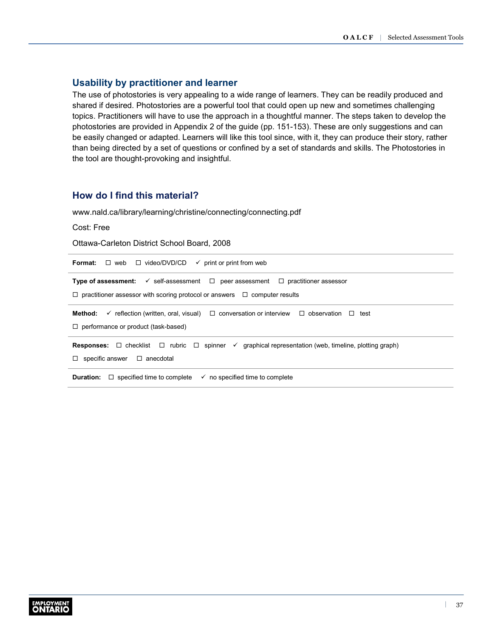### **Usability by practitioner and learner**

The use of photostories is very appealing to a wide range of learners. They can be readily produced and shared if desired. Photostories are a powerful tool that could open up new and sometimes challenging topics. Practitioners will have to use the approach in a thoughtful manner. The steps taken to develop the photostories are provided in Appendix 2 of the guide (pp. 151-153). These are only suggestions and can be easily changed or adapted. Learners will like this tool since, with it, they can produce their story, rather than being directed by a set of questions or confined by a set of standards and skills. The Photostories in the tool are thought-provoking and insightful.

# **How do I find this material?**

[www.nald.ca/library/learning/christine/connecting/connecting.pdf](http://www.nald.ca/library/learning/christine/connecting/connecting.pdf)

Cost: Free

Ottawa-Carleton District School Board, 2008

| $\Box$ web $\Box$ video/DVD/CD $\checkmark$ print or print from web<br>Format:                                                        |  |  |  |
|---------------------------------------------------------------------------------------------------------------------------------------|--|--|--|
| <b>Type of assessment:</b> $\checkmark$ self-assessment $\Box$ peer assessment $\Box$ practitioner assessor                           |  |  |  |
| $\Box$ practitioner assessor with scoring protocol or answers $\Box$ computer results                                                 |  |  |  |
| <b>Method:</b> $\checkmark$ reflection (written, oral, visual) $\Box$ conversation or interview $\Box$ observation $\Box$ test        |  |  |  |
| $\Box$ performance or product (task-based)                                                                                            |  |  |  |
| <b>Responses:</b> $\Box$ checklist $\Box$ rubric $\Box$ spinner $\checkmark$ graphical representation (web, timeline, plotting graph) |  |  |  |
| $\Box$ specific answer $\Box$ anecdotal                                                                                               |  |  |  |
| <b>Duration:</b> $\Box$ specified time to complete<br>$\checkmark$ no specified time to complete                                      |  |  |  |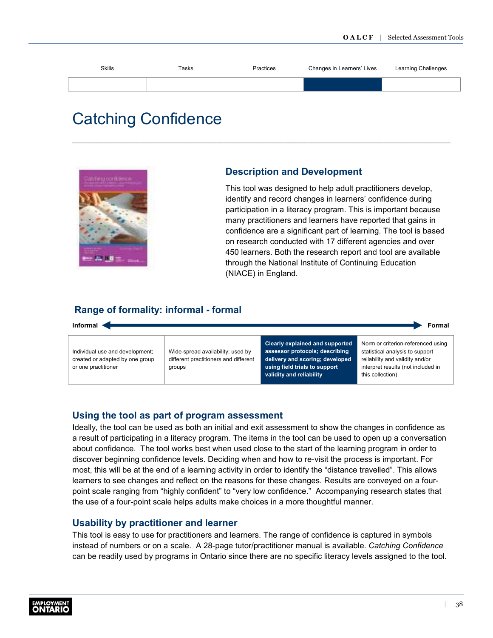<span id="page-40-0"></span>![](_page_40_Figure_1.jpeg)

# Catching Confidence

![](_page_40_Picture_3.jpeg)

### **Description and Development**

This tool was designed to help adult practitioners develop, identify and record changes in learners' confidence during participation in a literacy program. This is important because many practitioners and learners have reported that gains in confidence are a significant part of learning. The tool is based on research conducted with 17 different agencies and over 450 learners. Both the research report and tool are available through the National Institute of Continuing Education (NIACE) in England.

### **Range of formality: informal - formal**

![](_page_40_Figure_7.jpeg)

#### **Using the tool as part of program assessment**

Ideally, the tool can be used as both an initial and exit assessment to show the changes in confidence as a result of participating in a literacy program. The items in the tool can be used to open up a conversation about confidence. The tool works best when used close to the start of the learning program in order to discover beginning confidence levels. Deciding when and how to re-visit the process is important. For most, this will be at the end of a learning activity in order to identify the "distance travelled". This allows learners to see changes and reflect on the reasons for these changes. Results are conveyed on a fourpoint scale ranging from "highly confident" to "very low confidence." Accompanying research states that the use of a four-point scale helps adults make choices in a more thoughtful manner.

#### **Usability by practitioner and learner**

This tool is easy to use for practitioners and learners. The range of confidence is captured in symbols instead of numbers or on a scale. A 28-page tutor/practitioner manual is available. *Catching Confidence* can be readily used by programs in Ontario since there are no specific literacy levels assigned to the tool.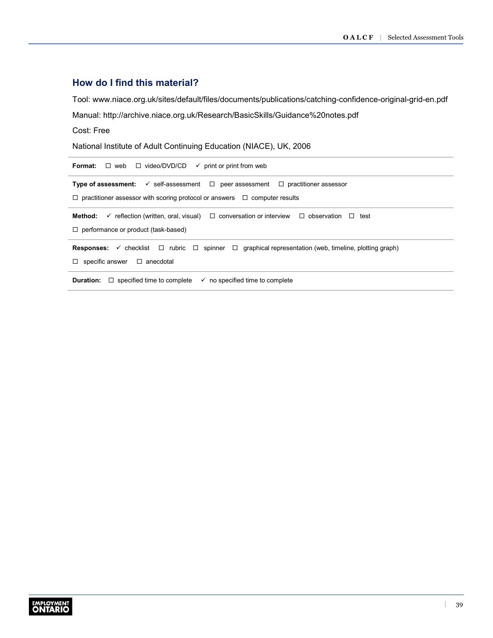# **How do I find this material?**

Tool: [www.niace.org.uk/sites/default/files/documents/publications/catching-confidence-original-grid-en.pdf](http://www.niace.org.uk/sites/default/files/documents/publications/catching-confidence-original-grid-en.pdf) Manual:<http://archive.niace.org.uk/Research/BasicSkills/Guidance%20notes.pdf>

Cost: Free

National Institute of Adult Continuing Education (NIACE), UK, 2006

| $\Box$ web $\Box$ video/DVD/CD<br>Format:<br>$\checkmark$ print or print from web                                                     |  |  |  |  |
|---------------------------------------------------------------------------------------------------------------------------------------|--|--|--|--|
| <b>Type of assessment:</b> $\checkmark$ self-assessment $\Box$ peer assessment $\Box$ practitioner assessor                           |  |  |  |  |
| $\Box$ practitioner assessor with scoring protocol or answers $\Box$ computer results                                                 |  |  |  |  |
| $\checkmark$ reflection (written, oral, visual) $\Box$ conversation or interview $\Box$ observation $\Box$ test<br>Method:            |  |  |  |  |
| $\Box$ performance or product (task-based)                                                                                            |  |  |  |  |
| <b>Responses:</b> $\checkmark$ checklist $\Box$ rubric $\Box$ spinner $\Box$ graphical representation (web, timeline, plotting graph) |  |  |  |  |
| specific answer $\Box$ anecdotal<br>$\Box$                                                                                            |  |  |  |  |
| $\Box$ specified time to complete<br>$\checkmark$ no specified time to complete<br><b>Duration:</b>                                   |  |  |  |  |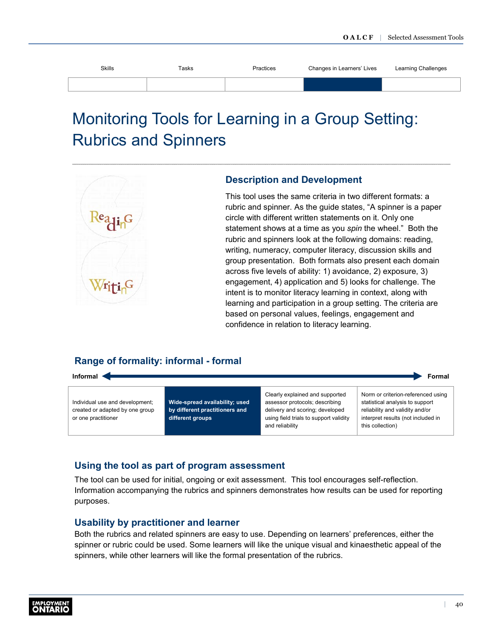<span id="page-42-0"></span>

| <b>Skills</b> | Tasks | Practices | Changes in Learners' Lives | Learning Challenges |
|---------------|-------|-----------|----------------------------|---------------------|
|               |       |           |                            |                     |
|               |       |           |                            |                     |

# Monitoring Tools for Learning in a Group Setting: Rubrics and Spinners

![](_page_42_Picture_3.jpeg)

### **Description and Development**

This tool uses the same criteria in two different formats: a rubric and spinner. As the guide states, "A spinner is a paper circle with different written statements on it. Only one statement shows at a time as you *spin* the wheel." Both the rubric and spinners look at the following domains: reading, writing, numeracy, computer literacy, discussion skills and group presentation. Both formats also present each domain across five levels of ability: 1) avoidance, 2) exposure, 3) engagement, 4) application and 5) looks for challenge. The intent is to monitor literacy learning in context, along with learning and participation in a group setting. The criteria are based on personal values, feelings, engagement and confidence in relation to literacy learning.

# **Range of formality: informal - formal**

![](_page_42_Picture_7.jpeg)

Individual use and development; created or adapted by one group or one practitioner

**Wide-spread availability; used by different practitioners and different groups**

Clearly explained and supported assessor protocols; describing delivery and scoring; developed using field trials to support validity and reliability

Norm or criterion-referenced using statistical analysis to support reliability and validity and/or interpret results (not included in

this collection)

# **Using the tool as part of program assessment**

The tool can be used for initial, ongoing or exit assessment. This tool encourages self-reflection. Information accompanying the rubrics and spinners demonstrates how results can be used for reporting purposes.

### **Usability by practitioner and learner**

Both the rubrics and related spinners are easy to use. Depending on learners' preferences, either the spinner or rubric could be used. Some learners will like the unique visual and kinaesthetic appeal of the spinners, while other learners will like the formal presentation of the rubrics.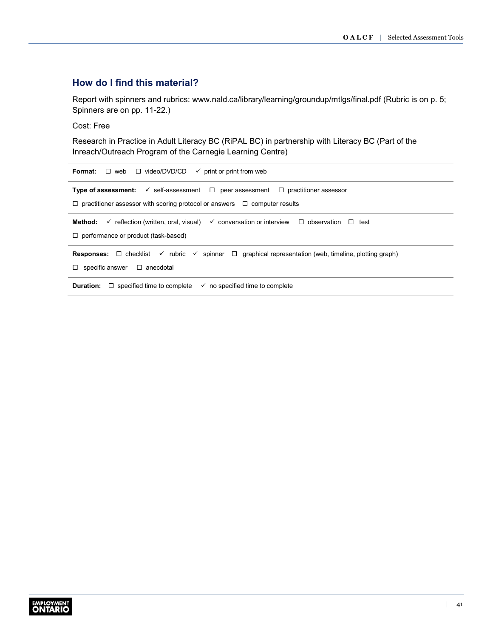# **How do I find this material?**

Report with spinners and rubrics: [www.nald.ca/library/learning/groundup/mtlgs/final.pdf](http://www.nald.ca/library/learning/groundup/mtlgs/final.pdf) (Rubric is on p. 5; Spinners are on pp. 11-22.)

Cost: Free

Research in Practice in Adult Literacy BC (RiPAL BC) in partnership with Literacy BC (Part of the Inreach/Outreach Program of the Carnegie Learning Centre)

| $\Box$ web $\Box$ video/DVD/CD<br>Format:<br>$\checkmark$ print or print from web                                                           |  |  |  |
|---------------------------------------------------------------------------------------------------------------------------------------------|--|--|--|
| <b>Type of assessment:</b> $\checkmark$ self-assessment $\Box$ peer assessment $\Box$ practitioner assessor                                 |  |  |  |
| $\Box$ practitioner assessor with scoring protocol or answers $\Box$ computer results                                                       |  |  |  |
| $\checkmark$ reflection (written, oral, visual) $\checkmark$ conversation or interview $\Box$ observation $\Box$<br>Method:<br>test         |  |  |  |
| $\Box$ performance or product (task-based)                                                                                                  |  |  |  |
| <b>Responses:</b> $\Box$ checklist $\checkmark$ rubric $\checkmark$ spinner $\Box$ graphical representation (web, timeline, plotting graph) |  |  |  |
| $\Box$ specific answer $\Box$ anecdotal                                                                                                     |  |  |  |
| $\Box$ specified time to complete<br><b>Duration:</b><br>$\checkmark$ no specified time to complete                                         |  |  |  |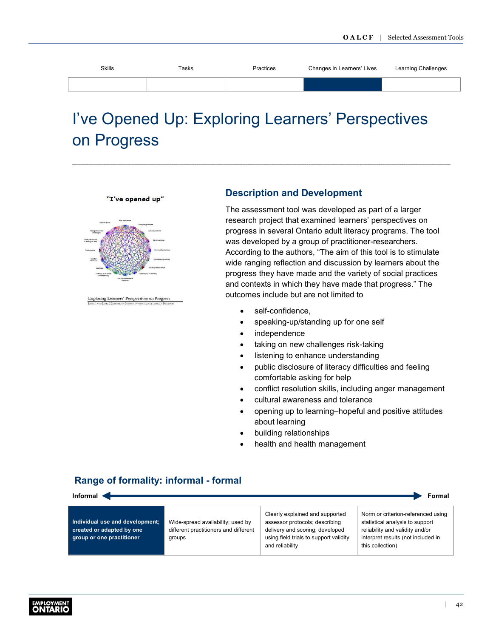<span id="page-44-0"></span>

| <b>Skills</b> | Tasks | Practices | Changes in Learners' Lives | Learning Challenges |
|---------------|-------|-----------|----------------------------|---------------------|
|               |       |           |                            |                     |

# I've Opened Up: Exploring Learners' Perspectives on Progress

"I've opened up"

![](_page_44_Figure_4.jpeg)

ng Learners' Perspectives on Progr

### **Description and Development**

The assessment tool was developed as part of a larger research project that examined learners' perspectives on progress in several Ontario adult literacy programs. The tool was developed by a group of practitioner-researchers. According to the authors, "The aim of this tool is to stimulate wide ranging reflection and discussion by learners about the progress they have made and the variety of social practices and contexts in which they have made that progress." The outcomes include but are not limited to

- self-confidence.
- speaking-up/standing up for one self
- independence
- taking on new challenges risk-taking
- listening to enhance understanding
- public disclosure of literacy difficulties and feeling comfortable asking for help
- conflict resolution skills, including anger management
- cultural awareness and tolerance
- opening up to learning–hopeful and positive attitudes about learning
- building relationships
- health and health management

# **Range of formality: informal - formal**

| Informal $\cdot$<br>Formal                                                                |                                                                                      |                                                                                                                                                                   |                                                                                                                                                                    |  |
|-------------------------------------------------------------------------------------------|--------------------------------------------------------------------------------------|-------------------------------------------------------------------------------------------------------------------------------------------------------------------|--------------------------------------------------------------------------------------------------------------------------------------------------------------------|--|
| Individual use and development;<br>created or adapted by one<br>group or one practitioner | Wide-spread availability; used by<br>different practitioners and different<br>groups | Clearly explained and supported<br>assessor protocols; describing<br>delivery and scoring; developed<br>using field trials to support validity<br>and reliability | Norm or criterion-referenced using<br>statistical analysis to support<br>reliability and validity and/or<br>interpret results (not included in<br>this collection) |  |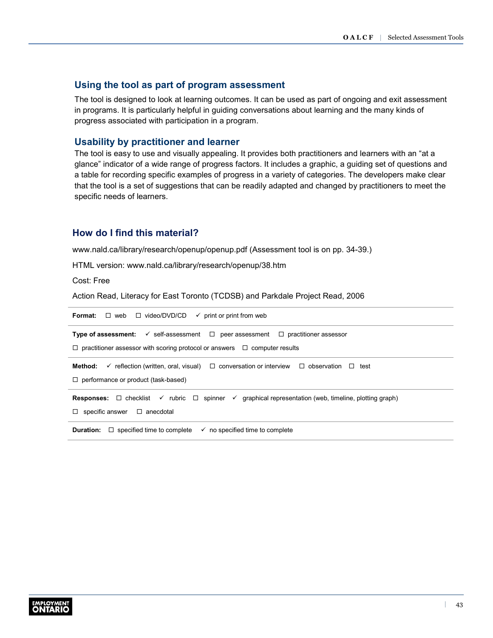### **Using the tool as part of program assessment**

The tool is designed to look at learning outcomes. It can be used as part of ongoing and exit assessment in programs. It is particularly helpful in guiding conversations about learning and the many kinds of progress associated with participation in a program.

### **Usability by practitioner and learner**

The tool is easy to use and visually appealing. It provides both practitioners and learners with an "at a glance" indicator of a wide range of progress factors. It includes a graphic, a guiding set of questions and a table for recording specific examples of progress in a variety of categories. The developers make clear that the tool is a set of suggestions that can be readily adapted and changed by practitioners to meet the specific needs of learners.

### **How do I find this material?**

[www.nald.ca/library/research/openup/openup.pdf](http://www.nald.ca/library/research/openup/openup.pdf) (Assessment tool is on pp. 34-39.)

HTML version: [www.nald.ca/library/research/openup/38.htm](http://www.nald.ca/library/research/openup/38.htm)

Cost: Free

Action Read, Literacy for East Toronto (TCDSB) and Parkdale Project Read, 2006

| <b>Format:</b> $\Box$ web $\Box$ video/DVD/CD<br>$\checkmark$ print or print from web                                                       |
|---------------------------------------------------------------------------------------------------------------------------------------------|
| <b>Type of assessment:</b> $\checkmark$ self-assessment $\Box$ peer assessment $\Box$ practitioner assessor                                 |
| $\Box$ practitioner assessor with scoring protocol or answers $\Box$ computer results                                                       |
| <b>Method:</b> $\checkmark$ reflection (written, oral, visual) $\Box$ conversation or interview $\Box$ observation $\Box$<br>test           |
| $\Box$ performance or product (task-based)                                                                                                  |
| <b>Responses:</b> $\Box$ checklist $\checkmark$ rubric $\Box$ spinner $\checkmark$ graphical representation (web, timeline, plotting graph) |
| $\Box$ specific answer $\Box$ anecdotal                                                                                                     |
| <b>Duration:</b> $\Box$ specified time to complete<br>$\checkmark$ no specified time to complete                                            |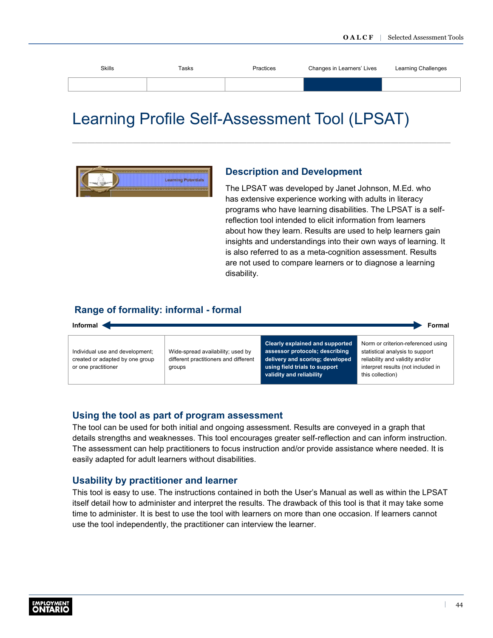<span id="page-46-0"></span>

| <b>Skills</b> | Tasks | Practices | Changes in Learners' Lives | Learning Challenges |
|---------------|-------|-----------|----------------------------|---------------------|
|               |       |           |                            |                     |
|               |       |           |                            |                     |

# Learning Profile Self-Assessment Tool (LPSAT)

![](_page_46_Picture_3.jpeg)

### **Description and Development**

The LPSAT was developed by Janet Johnson, M.Ed. who has extensive experience working with adults in literacy programs who have learning disabilities. The LPSAT is a selfreflection tool intended to elicit information from learners about how they learn. Results are used to help learners gain insights and understandings into their own ways of learning. It is also referred to as a meta-cognition assessment. Results are not used to compare learners or to diagnose a learning disability.

### **Range of formality: informal - formal**

![](_page_46_Figure_7.jpeg)

#### **Using the tool as part of program assessment**

The tool can be used for both initial and ongoing assessment. Results are conveyed in a graph that details strengths and weaknesses. This tool encourages greater self-reflection and can inform instruction. The assessment can help practitioners to focus instruction and/or provide assistance where needed. It is easily adapted for adult learners without disabilities.

#### **Usability by practitioner and learner**

This tool is easy to use. The instructions contained in both the User's Manual as well as within the LPSAT itself detail how to administer and interpret the results. The drawback of this tool is that it may take some time to administer. It is best to use the tool with learners on more than one occasion. If learners cannot use the tool independently, the practitioner can interview the learner.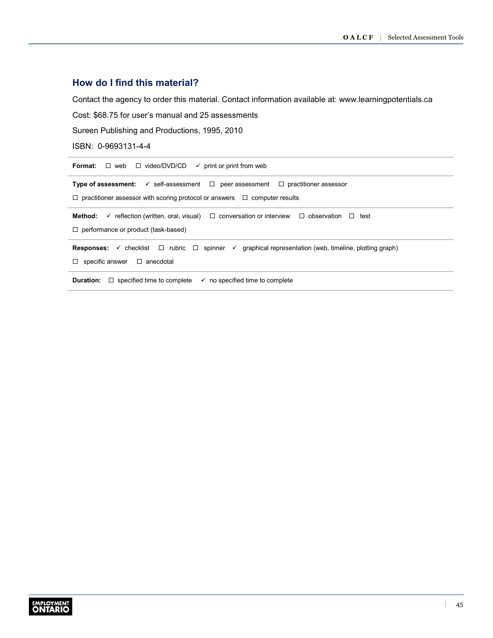# **How do I find this material?**

Contact the agency to order this material. Contact information available at: [www.learningpotentials.ca](http://www.learningpotentials.ca)

Cost: \$68.75 for user's manual and 25 assessments

Sureen Publishing and Productions, 1995, 2010

ISBN: 0-9693131-4-4

| $\Box$ web $\Box$ video/DVD/CD<br>Format:<br>$\checkmark$ print or print from web                                                                                                                    |  |  |  |
|------------------------------------------------------------------------------------------------------------------------------------------------------------------------------------------------------|--|--|--|
| <b>Type of assessment:</b> $\checkmark$ self-assessment $\Box$ peer assessment $\Box$ practitioner assessor<br>$\Box$ practitioner assessor with scoring protocol or answers $\Box$ computer results |  |  |  |
| <b>Method:</b> $\checkmark$ reflection (written, oral, visual) $\Box$ conversation or interview $\Box$ observation $\Box$<br>test<br>$\Box$ performance or product (task-based)                      |  |  |  |
| <b>Responses:</b> $\checkmark$ checklist $\Box$ rubric $\Box$ spinner $\checkmark$ graphical representation (web, timeline, plotting graph)<br>specific answer $\Box$ anecdotal<br>□.                |  |  |  |
| $\Box$ specified time to complete<br>$\checkmark$ no specified time to complete<br>Duration:                                                                                                         |  |  |  |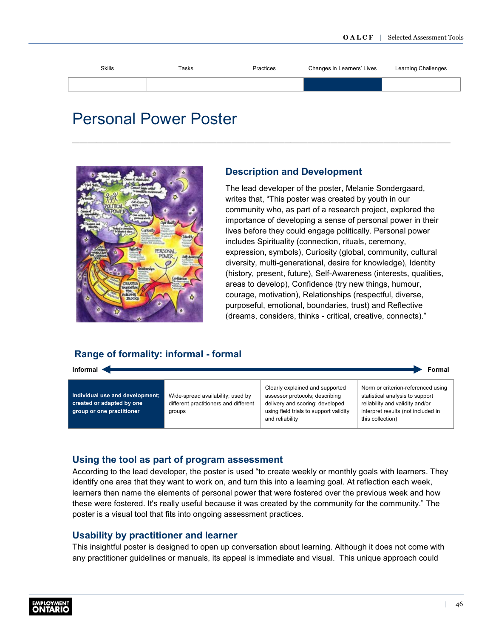<span id="page-48-0"></span>![](_page_48_Figure_1.jpeg)

# Personal Power Poster

![](_page_48_Picture_3.jpeg)

### **Description and Development**

The lead developer of the poster, Melanie Sondergaard, writes that, "This poster was created by youth in our community who, as part of a research project, explored the importance of developing a sense of personal power in their lives before they could engage politically. Personal power includes Spirituality (connection, rituals, ceremony, expression, symbols), Curiosity (global, community, cultural diversity, multi-generational, desire for knowledge), Identity (history, present, future), Self-Awareness (interests, qualities, areas to develop), Confidence (try new things, humour, courage, motivation), Relationships (respectful, diverse, purposeful, emotional, boundaries, trust) and Reflective (dreams, considers, thinks - critical, creative, connects)."

# **Range of formality: informal - formal**

**Informal** Formal **Formal** 

**Individual use and development; created or adapted by one group or one practitioner**

Wide-spread availability; used by different practitioners and different groups

Clearly explained and supported assessor protocols; describing delivery and scoring; developed using field trials to support validity and reliability

Norm or criterion-referenced using statistical analysis to support reliability and validity and/or interpret results (not included in this collection)

# **Using the tool as part of program assessment**

According to the lead developer, the poster is used "to create weekly or monthly goals with learners. They identify one area that they want to work on, and turn this into a learning goal. At reflection each week, learners then name the elements of personal power that were fostered over the previous week and how these were fostered. It's really useful because it was created by the community for the community." The poster is a visual tool that fits into ongoing assessment practices.

### **Usability by practitioner and learner**

This insightful poster is designed to open up conversation about learning. Although it does not come with any practitioner guidelines or manuals, its appeal is immediate and visual. This unique approach could

![](_page_48_Picture_16.jpeg)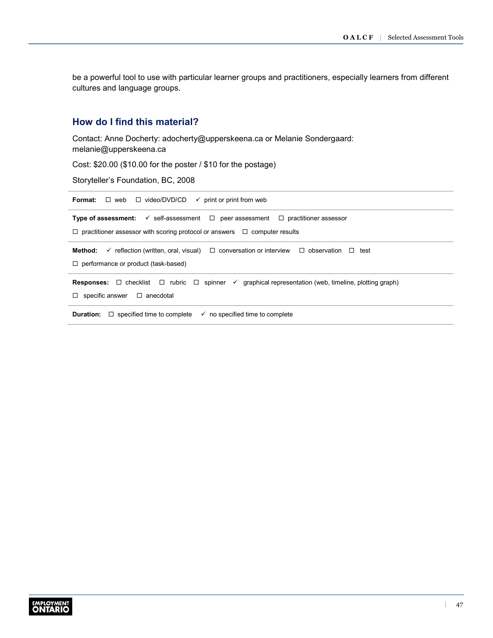be a powerful tool to use with particular learner groups and practitioners, especially learners from different cultures and language groups.

# **How do I find this material?**

Contact: Anne Docherty: [adocherty@upperskeena.ca](mailto:adocherty@upperskeena.ca) or Melanie Sondergaard: [melanie@upperskeena.ca](mailto:melanie@upperskeena.ca)

Cost: \$20.00 (\$10.00 for the poster / \$10 for the postage)

Storyteller's Foundation, BC, 2008

| $\Box$ web $\Box$ video/DVD/CD $\checkmark$ print or print from web<br>Format:                                                        |  |  |  |
|---------------------------------------------------------------------------------------------------------------------------------------|--|--|--|
| <b>Type of assessment:</b> $\checkmark$ self-assessment $\Box$ peer assessment $\Box$ practitioner assessor                           |  |  |  |
| $\Box$ practitioner assessor with scoring protocol or answers $\Box$ computer results                                                 |  |  |  |
| <b>Method:</b> $\checkmark$ reflection (written, oral, visual) $\Box$ conversation or interview $\Box$ observation $\Box$<br>test     |  |  |  |
| $\Box$ performance or product (task-based)                                                                                            |  |  |  |
| <b>Responses:</b> $\Box$ checklist $\Box$ rubric $\Box$ spinner $\checkmark$ graphical representation (web, timeline, plotting graph) |  |  |  |
| specific answer $\Box$ anecdotal<br>$\Box$                                                                                            |  |  |  |
| <b>Duration:</b> $\Box$ specified time to complete<br>$\checkmark$ no specified time to complete                                      |  |  |  |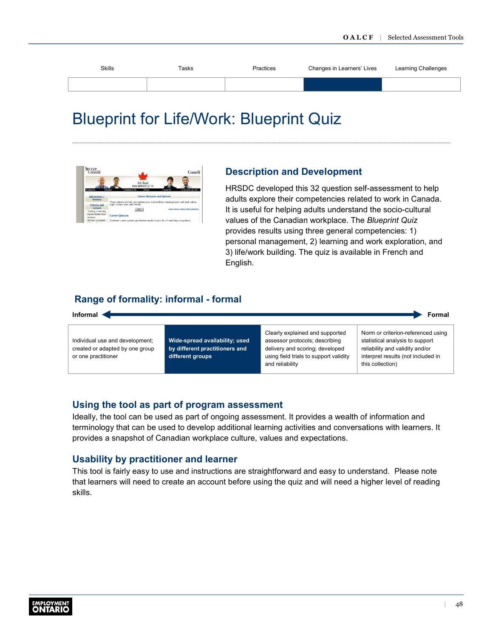<span id="page-50-0"></span>

| <b>Skills</b> | Tasks | Practices | Changes in Learners' Lives | Learning Challenges |
|---------------|-------|-----------|----------------------------|---------------------|
|               |       |           |                            |                     |
|               |       |           |                            |                     |

# Blueprint for Life/Work: Blueprint Quiz

![](_page_50_Picture_3.jpeg)

### **Description and Development**

HRSDC developed this 32 question self-assessment to help adults explore their competencies related to work in Canada. It is useful for helping adults understand the socio-cultural values of the Canadian workplace. The *Blueprint Quiz* provides results using three general competencies: 1) personal management, 2) learning and work exploration, and 3) life/work building. The quiz is available in French and English.

# **Range of formality: informal - formal**

![](_page_50_Figure_7.jpeg)

### **Using the tool as part of program assessment**

Ideally, the tool can be used as part of ongoing assessment. It provides a wealth of information and terminology that can be used to develop additional learning activities and conversations with learners. It provides a snapshot of Canadian workplace culture, values and expectations.

#### **Usability by practitioner and learner**

This tool is fairly easy to use and instructions are straightforward and easy to understand. Please note that learners will need to create an account before using the quiz and will need a higher level of reading skills.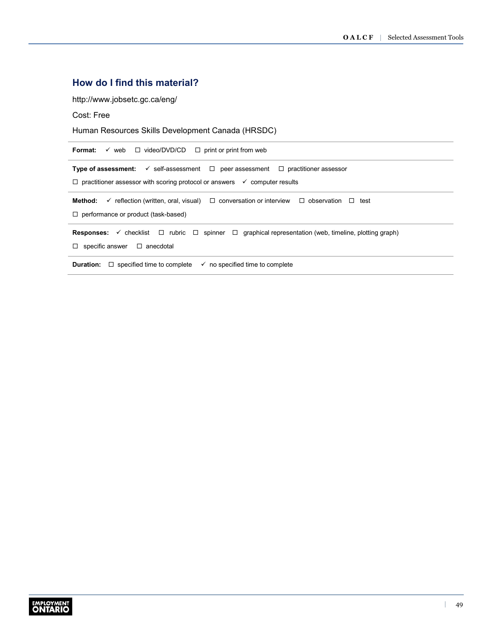# **How do I find this material?**

<http://www.jobsetc.gc.ca/eng/>

Cost: Free

Human Resources Skills Development Canada (HRSDC)

| Format:<br>$\checkmark$ web $\Box$ video/DVD/CD $\Box$ print or print from web                                                                                                                             |  |  |  |
|------------------------------------------------------------------------------------------------------------------------------------------------------------------------------------------------------------|--|--|--|
| <b>Type of assessment:</b> $\checkmark$ self-assessment $\Box$ peer assessment $\Box$ practitioner assessor<br>$\Box$ practitioner assessor with scoring protocol or answers $\checkmark$ computer results |  |  |  |
| Method:<br>$\checkmark$ reflection (written, oral, visual) $\Box$ conversation or interview $\Box$ observation $\Box$<br>test<br>$\Box$ performance or product (task-based)                                |  |  |  |
| <b>Responses:</b> $\checkmark$ checklist $\Box$ rubric $\Box$ spinner $\Box$ graphical representation (web, timeline, plotting graph)<br>specific answer $\Box$ anecdotal<br>$\Box$                        |  |  |  |
| $\Box$ specified time to complete<br>$\checkmark$ no specified time to complete<br>Duration:                                                                                                               |  |  |  |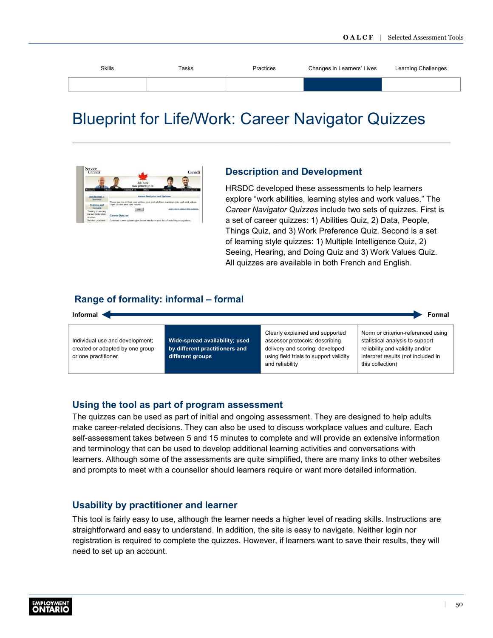<span id="page-52-0"></span>

| Skills | Tasks | Practices | Changes in Learners' Lives | Learning Challenges |
|--------|-------|-----------|----------------------------|---------------------|
|        |       |           |                            |                     |
|        |       |           |                            |                     |

# Blueprint for Life/Work: Career Navigator Quizzes

![](_page_52_Picture_3.jpeg)

### **Description and Development**

HRSDC developed these assessments to help learners explore "work abilities, learning styles and work values." The *Career Navigator Quizzes* include two sets of quizzes. First is a set of career quizzes: 1) Abilities Quiz, 2) Data, People, Things Quiz, and 3) Work Preference Quiz. Second is a set of learning style quizzes: 1) Multiple Intelligence Quiz, 2) Seeing, Hearing, and Doing Quiz and 3) Work Values Quiz. All quizzes are available in both French and English.

# **Range of formality: informal – formal**

![](_page_52_Figure_7.jpeg)

#### **Using the tool as part of program assessment**

The quizzes can be used as part of initial and ongoing assessment. They are designed to help adults make career-related decisions. They can also be used to discuss workplace values and culture. Each self-assessment takes between 5 and 15 minutes to complete and will provide an extensive information and terminology that can be used to develop additional learning activities and conversations with learners. Although some of the assessments are quite simplified, there are many links to other websites and prompts to meet with a counsellor should learners require or want more detailed information.

### **Usability by practitioner and learner**

This tool is fairly easy to use, although the learner needs a higher level of reading skills. Instructions are straightforward and easy to understand. In addition, the site is easy to navigate. Neither login nor registration is required to complete the quizzes. However, if learners want to save their results, they will need to set up an account.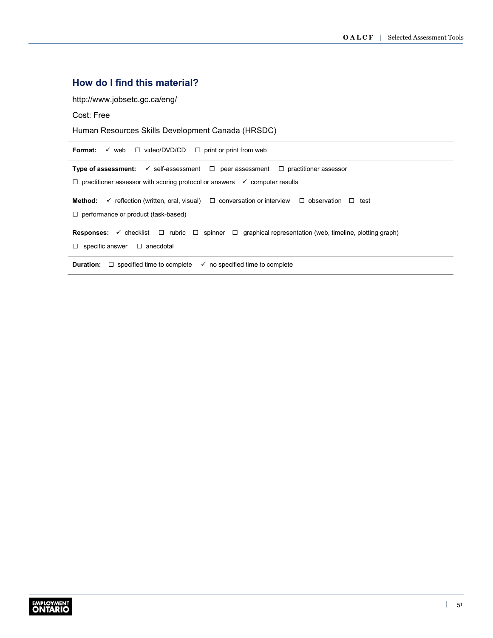# **How do I find this material?**

<http://www.jobsetc.gc.ca/eng/>

Cost: Free

Human Resources Skills Development Canada (HRSDC)

| Format:<br>$\checkmark$ web $\Box$ video/DVD/CD $\Box$ print or print from web                                                                                                                             |  |  |  |
|------------------------------------------------------------------------------------------------------------------------------------------------------------------------------------------------------------|--|--|--|
| <b>Type of assessment:</b> $\checkmark$ self-assessment $\Box$ peer assessment $\Box$ practitioner assessor<br>$\Box$ practitioner assessor with scoring protocol or answers $\checkmark$ computer results |  |  |  |
| Method:<br>$\checkmark$ reflection (written, oral, visual) $\Box$ conversation or interview $\Box$ observation $\Box$<br>test<br>$\Box$ performance or product (task-based)                                |  |  |  |
| <b>Responses:</b> $\checkmark$ checklist $\Box$ rubric $\Box$ spinner $\Box$ graphical representation (web, timeline, plotting graph)<br>specific answer $\Box$ anecdotal<br>$\Box$                        |  |  |  |
| $\Box$ specified time to complete<br>$\checkmark$ no specified time to complete<br>Duration:                                                                                                               |  |  |  |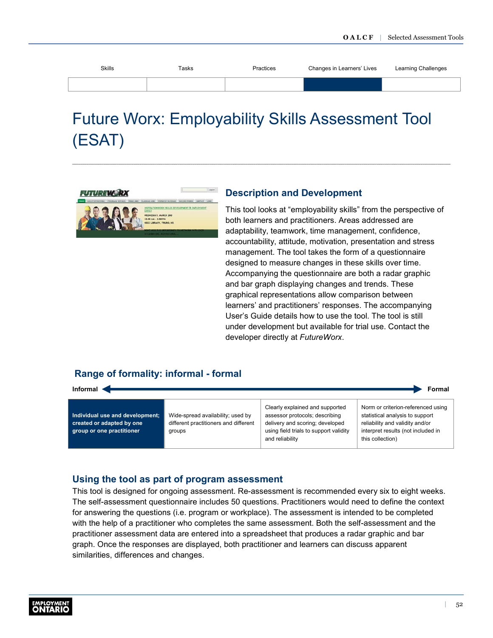<span id="page-54-0"></span>

| <b>Skills</b> | Tasks | Practices | Changes in Learners' Lives | Learning Challenges |
|---------------|-------|-----------|----------------------------|---------------------|
|               |       |           |                            |                     |

# Future Worx: Employability Skills Assessment Tool (ESAT)

![](_page_54_Picture_3.jpeg)

### **Description and Development**

This tool looks at "employability skills" from the perspective of both learners and practitioners. Areas addressed are adaptability, teamwork, time management, confidence, accountability, attitude, motivation, presentation and stress management. The tool takes the form of a questionnaire designed to measure changes in these skills over time. Accompanying the questionnaire are both a radar graphic and bar graph displaying changes and trends. These graphical representations allow comparison between learners' and practitioners' responses. The accompanying User's Guide details how to use the tool. The tool is still under development but available for trial use. Contact the developer directly at *FutureWorx*.

### **Range of formality: informal - formal**

| Informal ·<br>Formal                                                                      |                                                                                      |                                                                                                                                                                   |                                                                                                                                                                    |  |  |
|-------------------------------------------------------------------------------------------|--------------------------------------------------------------------------------------|-------------------------------------------------------------------------------------------------------------------------------------------------------------------|--------------------------------------------------------------------------------------------------------------------------------------------------------------------|--|--|
| Individual use and development;<br>created or adapted by one<br>group or one practitioner | Wide-spread availability; used by<br>different practitioners and different<br>groups | Clearly explained and supported<br>assessor protocols; describing<br>delivery and scoring; developed<br>using field trials to support validity<br>and reliability | Norm or criterion-referenced using<br>statistical analysis to support<br>reliability and validity and/or<br>interpret results (not included in<br>this collection) |  |  |

#### **Using the tool as part of program assessment**

This tool is designed for ongoing assessment. Re-assessment is recommended every six to eight weeks. The self-assessment questionnaire includes 50 questions. Practitioners would need to define the context for answering the questions (i.e. program or workplace). The assessment is intended to be completed with the help of a practitioner who completes the same assessment. Both the self-assessment and the practitioner assessment data are entered into a spreadsheet that produces a radar graphic and bar graph. Once the responses are displayed, both practitioner and learners can discuss apparent similarities, differences and changes.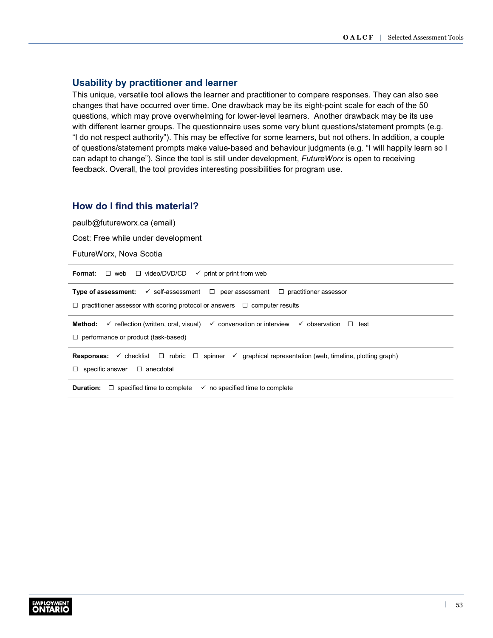# **Usability by practitioner and learner**

This unique, versatile tool allows the learner and practitioner to compare responses. They can also see changes that have occurred over time. One drawback may be its eight-point scale for each of the 50 questions, which may prove overwhelming for lower-level learners. Another drawback may be its use with different learner groups. The questionnaire uses some very blunt questions/statement prompts (e.g. "I do not respect authority"). This may be effective for some learners, but not others. In addition, a couple of questions/statement prompts make value-based and behaviour judgments (e.g. "I will happily learn so I can adapt to change"). Since the tool is still under development, *FutureWorx* is open to receiving feedback. Overall, the tool provides interesting possibilities for program use.

### **How do I find this material?**

[paulb@futureworx.ca](mailto:paulb@futureworx.ca) (email)

Cost: Free while under development

FutureWorx, Nova Scotia

| <b>Format:</b> $\Box$ web $\Box$ video/DVD/CD<br>$\checkmark$ print or print from web                                                                                                                |  |  |  |
|------------------------------------------------------------------------------------------------------------------------------------------------------------------------------------------------------|--|--|--|
| <b>Type of assessment:</b> $\checkmark$ self-assessment $\Box$ peer assessment $\Box$ practitioner assessor<br>$\Box$ practitioner assessor with scoring protocol or answers $\Box$ computer results |  |  |  |
| $\checkmark$ reflection (written, oral, visual) $\checkmark$ conversation or interview $\checkmark$ observation<br>Method:<br>$\Box$ test<br>$\Box$ performance or product (task-based)              |  |  |  |
| <b>Responses:</b> $\checkmark$ checklist $\Box$ rubric $\Box$ spinner $\checkmark$ graphical representation (web, timeline, plotting graph)<br>$\Box$ specific answer $\Box$ anecdotal               |  |  |  |
| <b>Duration:</b> $\Box$ specified time to complete<br>$\checkmark$ no specified time to complete                                                                                                     |  |  |  |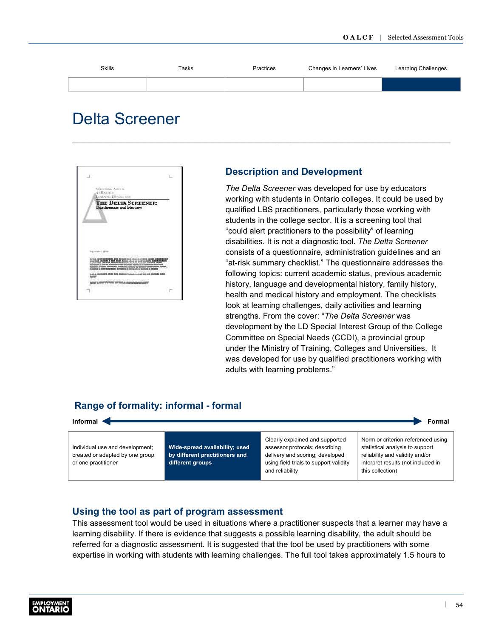<span id="page-56-0"></span>![](_page_56_Figure_1.jpeg)

![](_page_56_Picture_2.jpeg)

# **Description and Development**

*The Delta Screener* was developed for use by educators working with students in Ontario colleges. It could be used by qualified LBS practitioners, particularly those working with students in the college sector. It is a screening tool that "could alert practitioners to the possibility" of learning disabilities. It is not a diagnostic tool. *The Delta Screener*  consists of a questionnaire, administration guidelines and an "at-risk summary checklist." The questionnaire addresses the following topics: current academic status, previous academic history, language and developmental history, family history, health and medical history and employment. The checklists look at learning challenges, daily activities and learning strengths. From the cover: "*The Delta Screener* was development by the LD Special Interest Group of the College Committee on Special Needs (CCDI), a provincial group under the Ministry of Training, Colleges and Universities. It was developed for use by qualified practitioners working with adults with learning problems."

# **Range of formality: informal - formal**

![](_page_56_Figure_6.jpeg)

using field trials to support validity

and reliability

# **Using the tool as part of program assessment**

**different groups**

This assessment tool would be used in situations where a practitioner suspects that a learner may have a learning disability. If there is evidence that suggests a possible learning disability, the adult should be referred for a diagnostic assessment. It is suggested that the tool be used by practitioners with some expertise in working with students with learning challenges. The full tool takes approximately 1.5 hours to

or one practitioner

interpret results (not included in

this collection)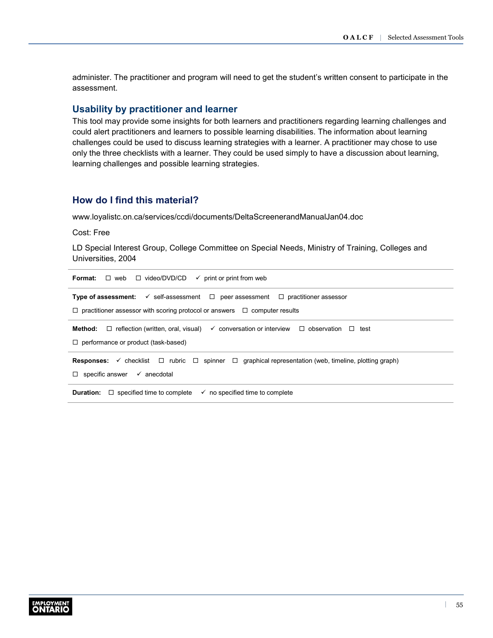administer. The practitioner and program will need to get the student's written consent to participate in the assessment.

#### **Usability by practitioner and learner**

This tool may provide some insights for both learners and practitioners regarding learning challenges and could alert practitioners and learners to possible learning disabilities. The information about learning challenges could be used to discuss learning strategies with a learner. A practitioner may chose to use only the three checklists with a learner. They could be used simply to have a discussion about learning, learning challenges and possible learning strategies.

### **How do I find this material?**

[www.loyalistc.on.ca/services/ccdi/documents/DeltaScreenerandManualJan04.doc](http://faculty.uml.edu/darcus/47.375/ld/DeltaScreener_2004.htm)

Cost: Free

LD Special Interest Group, College Committee on Special Needs, Ministry of Training, Colleges and Universities, 2004

**Format:**  $\Box$  web  $\Box$  video/DVD/CD  $\checkmark$  print or print from web **Type of assessment:**  $\checkmark$  self-assessment  $\Box$  peer assessment  $\Box$  practitioner assessor  $\Box$  practitioner assessor with scoring protocol or answers  $\Box$  computer results **Method:** □ reflection (written, oral, visual)  $\checkmark$  conversation or interview □ observation □ test □ performance or product (task-based) **Responses:** ✓ checklist □ rubric □ spinner □ graphical representation (web, timeline, plotting graph)  $\Box$  specific answer  $\checkmark$  anecdotal **Duration:**  $\Box$  specified time to complete  $\checkmark$  no specified time to complete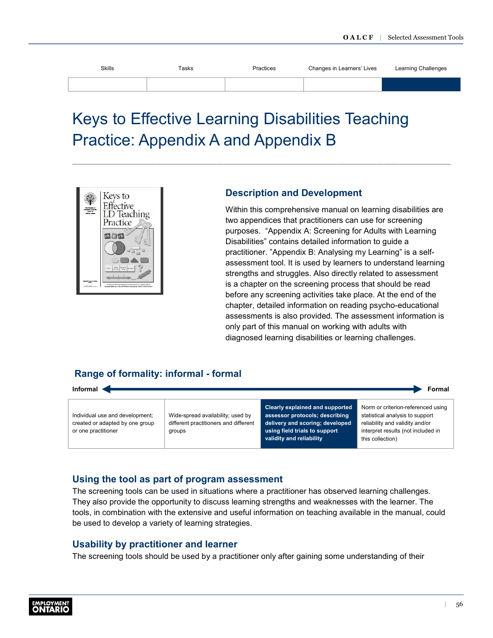<span id="page-58-0"></span>

| <b>Skills</b><br>___ | Tasks | Practices | Changes in Learners' Lives | Learning Challenges |
|----------------------|-------|-----------|----------------------------|---------------------|
|                      |       |           |                            |                     |

# Keys to Effective Learning Disabilities Teaching Practice: Appendix A and Appendix B

![](_page_58_Picture_3.jpeg)

# **Description and Development**

Within this comprehensive manual on learning disabilities are two appendices that practitioners can use for screening purposes. "Appendix A: Screening for Adults with Learning Disabilities" contains detailed information to guide a practitioner. "Appendix B: Analysing my Learning" is a selfassessment tool. It is used by learners to understand learning strengths and struggles. Also directly related to assessment is a chapter on the screening process that should be read before any screening activities take place. At the end of the chapter, detailed information on reading psycho-educational assessments is also provided. The assessment information is only part of this manual on working with adults with diagnosed learning disabilities or learning challenges.

# **Range of formality: informal - formal**

![](_page_58_Figure_7.jpeg)

# **Using the tool as part of program assessment**

The screening tools can be used in situations where a practitioner has observed learning challenges. They also provide the opportunity to discuss learning strengths and weaknesses with the learner. The tools, in combination with the extensive and useful information on teaching available in the manual, could be used to develop a variety of learning strategies.

# **Usability by practitioner and learner**

The screening tools should be used by a practitioner only after gaining some understanding of their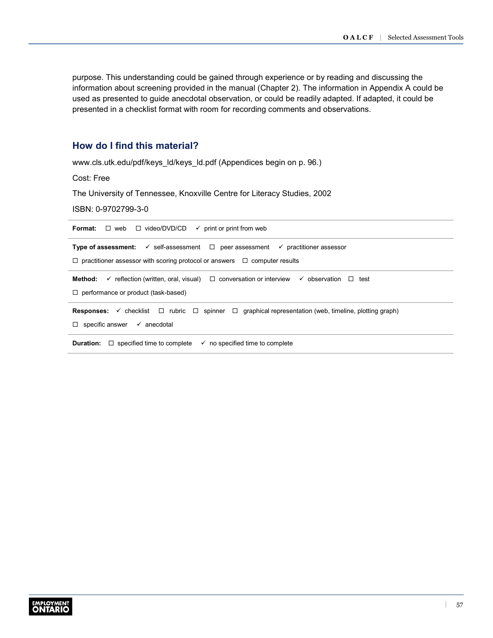purpose. This understanding could be gained through experience or by reading and discussing the information about screening provided in the manual (Chapter 2). The information in Appendix A could be used as presented to guide anecdotal observation, or could be readily adapted. If adapted, it could be presented in a checklist format with room for recording comments and observations.

# **How do I find this material?**

[www.cls.utk.edu/pdf/keys\\_ld/keys\\_ld.pdf](http://www.cls.utk.edu/pdf/keys_ld/keys_ld.pdf) (Appendices begin on p. 96.)

Cost: Free

The University of Tennessee, Knoxville Centre for Literacy Studies, 2002

ISBN: 0-9702799-3-0

| <b>Format:</b> $\Box$ web $\Box$ video/DVD/CD $\checkmark$ print or print from web                                                                                                     |
|----------------------------------------------------------------------------------------------------------------------------------------------------------------------------------------|
| <b>Type of assessment:</b> $\checkmark$ self-assessment $\Box$ peer assessment $\checkmark$ practitioner assessor                                                                      |
| $\Box$ practitioner assessor with scoring protocol or answers $\Box$ computer results                                                                                                  |
| $\checkmark$ reflection (written, oral, visual) $\Box$ conversation or interview $\checkmark$ observation<br>Method:<br>⊟ test<br>$\Box$ performance or product (task-based)           |
| <b>Responses:</b> $\checkmark$ checklist $\Box$ rubric $\Box$ spinner $\Box$ graphical representation (web, timeline, plotting graph)<br>$\Box$ specific answer $\checkmark$ anecdotal |
| <b>Duration:</b> $\Box$ specified time to complete<br>$\checkmark$ no specified time to complete                                                                                       |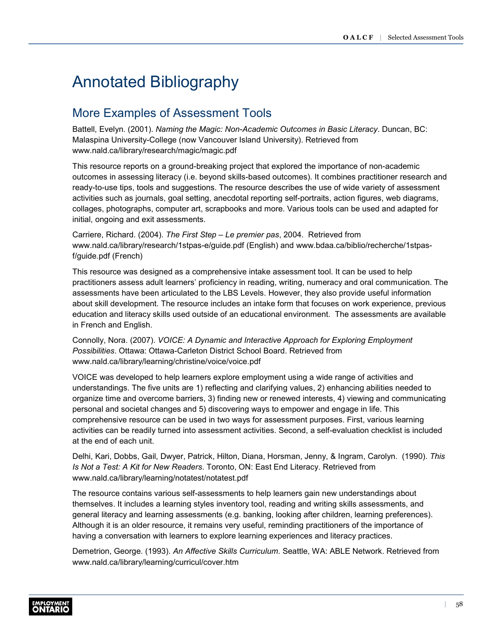# <span id="page-60-0"></span>Annotated Bibliography

# More Examples of Assessment Tools

Battell, Evelyn. (2001). *Naming the Magic: Non-Academic Outcomes in Basic Literacy*. Duncan, BC: Malaspina University-College (now Vancouver Island University). Retrieved from [www.nald.ca/library/research/magic/magic.pdf](http://www.nald.ca/library/research/magic/magic.pdf)

This resource reports on a ground-breaking project that explored the importance of non-academic outcomes in assessing literacy (i.e. beyond skills-based outcomes). It combines practitioner research and ready-to-use tips, tools and suggestions. The resource describes the use of wide variety of assessment activities such as journals, goal setting, anecdotal reporting self-portraits, action figures, web diagrams, collages, photographs, computer art, scrapbooks and more. Various tools can be used and adapted for initial, ongoing and exit assessments.

Carriere, Richard. (2004). *The First Step – Le premier pas*, 2004. Retrieved from [www.nald.ca/library/research/1stpas-e/guide.pdf](http://www.nald.ca/library/research/1stpas-e/guide.pdf) (English) and [www.bdaa.ca/biblio/recherche/1stpas](http://www.bdaa.ca/biblio/recherche/1stpas-f/guide.pdf)[f/guide.pdf](http://www.bdaa.ca/biblio/recherche/1stpas-f/guide.pdf) (French)

This resource was designed as a comprehensive intake assessment tool. It can be used to help practitioners assess adult learners' proficiency in reading, writing, numeracy and oral communication. The assessments have been articulated to the LBS Levels. However, they also provide useful information about skill development. The resource includes an intake form that focuses on work experience, previous education and literacy skills used outside of an educational environment. The assessments are available in French and English.

Connolly, Nora. (2007). *VOICE: A Dynamic and Interactive Approach for Exploring Employment Possibilities*. Ottawa: Ottawa-Carleton District School Board. Retrieved from [www.nald.ca/library/learning/christine/voice/voice.pdf](http://www.nald.ca/library/learning/christine/voice/voice.pdf)

VOICE was developed to help learners explore employment using a wide range of activities and understandings. The five units are 1) reflecting and clarifying values, 2) enhancing abilities needed to organize time and overcome barriers, 3) finding new or renewed interests, 4) viewing and communicating personal and societal changes and 5) discovering ways to empower and engage in life. This comprehensive resource can be used in two ways for assessment purposes. First, various learning activities can be readily turned into assessment activities. Second, a self-evaluation checklist is included at the end of each unit.

Delhi, Kari, Dobbs, Gail, Dwyer, Patrick, Hilton, Diana, Horsman, Jenny, & Ingram, Carolyn. (1990). *This Is Not a Test: A Kit for New Readers*. Toronto, ON: East End Literacy. Retrieved from [www.nald.ca/library/learning/notatest/notatest.pdf](http://www.nald.ca/library/learning/notatest/notatest.pdf)

The resource contains various self-assessments to help learners gain new understandings about themselves. It includes a learning styles inventory tool, reading and writing skills assessments, and general literacy and learning assessments (e.g. banking, looking after children, learning preferences). Although it is an older resource, it remains very useful, reminding practitioners of the importance of having a conversation with learners to explore learning experiences and literacy practices.

Demetrion, George. (1993). *An Affective Skills Curriculum*. Seattle, WA: ABLE Network. Retrieved from [www.nald.ca/library/learning/curricul/cover.htm](http://www.nald.ca/library/learning/curricul/cover.htm)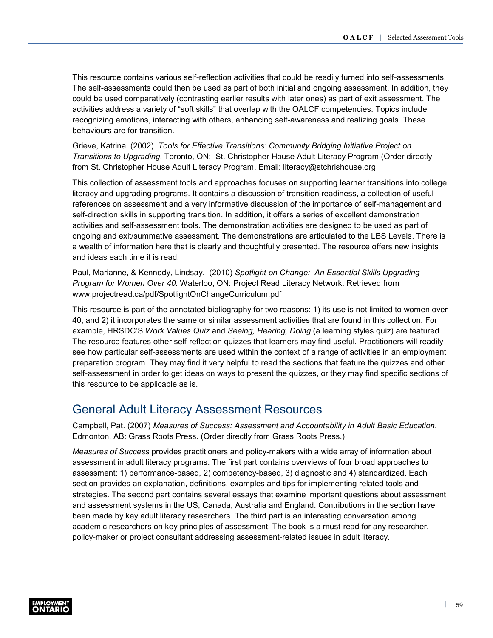<span id="page-61-0"></span>This resource contains various self-reflection activities that could be readily turned into self-assessments. The self-assessments could then be used as part of both initial and ongoing assessment. In addition, they could be used comparatively (contrasting earlier results with later ones) as part of exit assessment. The activities address a variety of "soft skills" that overlap with the OALCF competencies. Topics include recognizing emotions, interacting with others, enhancing self-awareness and realizing goals. These behaviours are for transition.

Grieve, Katrina. (2002). *Tools for Effective Transitions: Community Bridging Initiative Project on Transitions to Upgrading*. Toronto, ON: St. Christopher House Adult Literacy Program (Order directly from St. Christopher House Adult Literacy Program. Email: [literacy@stchrishouse.org](mailto:literacy@stchrishouse.org)

This collection of assessment tools and approaches focuses on supporting learner transitions into college literacy and upgrading programs. It contains a discussion of transition readiness, a collection of useful references on assessment and a very informative discussion of the importance of self-management and self-direction skills in supporting transition. In addition, it offers a series of excellent demonstration activities and self-assessment tools. The demonstration activities are designed to be used as part of ongoing and exit/summative assessment. The demonstrations are articulated to the LBS Levels. There is a wealth of information here that is clearly and thoughtfully presented. The resource offers new insights and ideas each time it is read.

Paul, Marianne, & Kennedy, Lindsay. (2010) *Spotlight on Change: An Essential Skills Upgrading Program for Women Over 40*. Waterloo, ON: Project Read Literacy Network. Retrieved from [www.projectread.ca/pdf/SpotlightOnChangeCurriculum.pdf](http://www.projectread.ca/pdf/SpotlightOnChangeCurriculum.pdf)

This resource is part of the annotated bibliography for two reasons: 1) its use is not limited to women over 40, and 2) it incorporates the same or similar assessment activities that are found in this collection. For example, HRSDC'S *Work Values Quiz* and *Seeing, Hearing, Doing* (a learning styles quiz) are featured. The resource features other self-reflection quizzes that learners may find useful. Practitioners will readily see how particular self-assessments are used within the context of a range of activities in an employment preparation program. They may find it very helpful to read the sections that feature the quizzes and other self-assessment in order to get ideas on ways to present the quizzes, or they may find specific sections of this resource to be applicable as is.

# General Adult Literacy Assessment Resources

Campbell, Pat. (2007) *Measures of Success: Assessment and Accountability in Adult Basic Education*. Edmonton, AB: Grass Roots Press. (Order directly from Grass Roots Press.)

*Measures of Success* provides practitioners and policy-makers with a wide array of information about assessment in adult literacy programs. The first part contains overviews of four broad approaches to assessment: 1) performance-based, 2) competency-based, 3) diagnostic and 4) standardized. Each section provides an explanation, definitions, examples and tips for implementing related tools and strategies. The second part contains several essays that examine important questions about assessment and assessment systems in the US, Canada, Australia and England. Contributions in the section have been made by key adult literacy researchers. The third part is an interesting conversation among academic researchers on key principles of assessment. The book is a must-read for any researcher, policy-maker or project consultant addressing assessment-related issues in adult literacy.

![](_page_61_Picture_9.jpeg)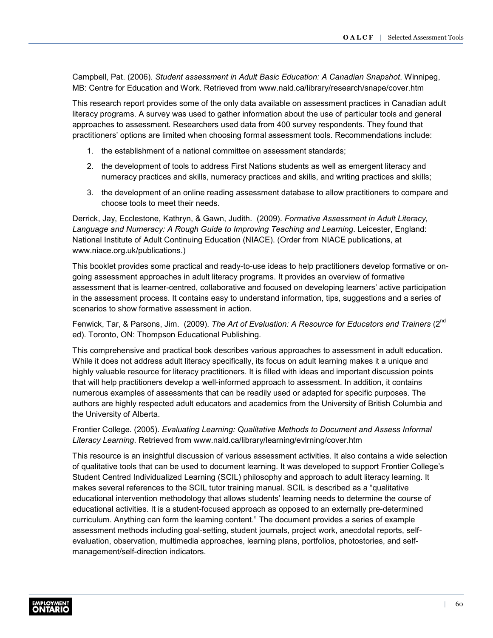Campbell, Pat. (2006). *Student assessment in Adult Basic Education: A Canadian Snapshot*. Winnipeg, MB: Centre for Education and Work. Retrieved from [www.nald.ca/library/research/snape/cover.htm](http://www.nald.ca/library/research/snape/cover.htm)

This research report provides some of the only data available on assessment practices in Canadian adult literacy programs. A survey was used to gather information about the use of particular tools and general approaches to assessment. Researchers used data from 400 survey respondents. They found that practitioners' options are limited when choosing formal assessment tools. Recommendations include:

- 1. the establishment of a national committee on assessment standards;
- 2. the development of tools to address First Nations students as well as emergent literacy and numeracy practices and skills, numeracy practices and skills, and writing practices and skills;
- 3. the development of an online reading assessment database to allow practitioners to compare and choose tools to meet their needs.

Derrick, Jay, Ecclestone, Kathryn, & Gawn, Judith. (2009). *Formative Assessment in Adult Literacy, Language and Numeracy: A Rough Guide to Improving Teaching and Learning*. Leicester, England: National Institute of Adult Continuing Education (NIACE). (Order from NIACE publications, at [www.niace.org.uk/publications](http://www.niace.org.uk/publications).)

This booklet provides some practical and ready-to-use ideas to help practitioners develop formative or ongoing assessment approaches in adult literacy programs. It provides an overview of formative assessment that is learner-centred, collaborative and focused on developing learners' active participation in the assessment process. It contains easy to understand information, tips, suggestions and a series of scenarios to show formative assessment in action.

Fenwick, Tar, & Parsons, Jim. (2009). *The Art of Evaluation: A Resource for Educators and Trainers* (2<sup>nd</sup> ed). Toronto, ON: Thompson Educational Publishing.

This comprehensive and practical book describes various approaches to assessment in adult education. While it does not address adult literacy specifically, its focus on adult learning makes it a unique and highly valuable resource for literacy practitioners. It is filled with ideas and important discussion points that will help practitioners develop a well-informed approach to assessment. In addition, it contains numerous examples of assessments that can be readily used or adapted for specific purposes. The authors are highly respected adult educators and academics from the University of British Columbia and the University of Alberta.

Frontier College. (2005). *Evaluating Learning: Qualitative Methods to Document and Assess Informal Literacy Learning*. Retrieved from [www.nald.ca/library/learning/evlrning/cover.htm](http://www.nald.ca/library/learning/evlrning/cover.htm)

This resource is an insightful discussion of various assessment activities. It also contains a wide selection of qualitative tools that can be used to document learning. It was developed to support Frontier College's Student Centred Individualized Learning (SCIL) philosophy and approach to adult literacy learning. It makes several references to the SCIL tutor training manual. SCIL is described as a "qualitative educational intervention methodology that allows students' learning needs to determine the course of educational activities. It is a student-focused approach as opposed to an externally pre-determined curriculum. Anything can form the learning content." The document provides a series of example assessment methods including goal-setting, student journals, project work, anecdotal reports, selfevaluation, observation, multimedia approaches, learning plans, portfolios, photostories, and selfmanagement/self-direction indicators.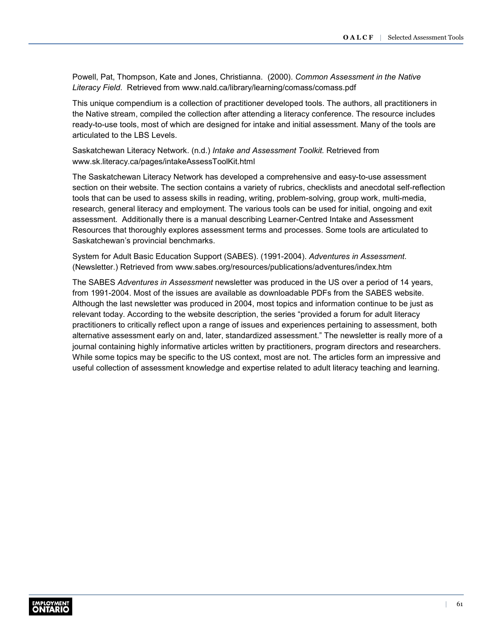Powell, Pat, Thompson, Kate and Jones, Christianna. (2000). *Common Assessment in the Native Literacy Field*. Retrieved from [www.nald.ca/library/learning/comass/comass.pdf](http://www.nald.ca/library/learning/comass/comass.pdf)

This unique compendium is a collection of practitioner developed tools. The authors, all practitioners in the Native stream, compiled the collection after attending a literacy conference. The resource includes ready-to-use tools, most of which are designed for intake and initial assessment. Many of the tools are articulated to the LBS Levels.

Saskatchewan Literacy Network. (n.d.) *Intake and Assessment Toolkit.* Retrieved from [www.sk.literacy.ca/pages/intakeAssessToolKit.html](http://www.sk.literacy.ca/pages/intakeAssessToolKit.html)

The Saskatchewan Literacy Network has developed a comprehensive and easy-to-use assessment section on their website. The section contains a variety of rubrics, checklists and anecdotal self-reflection tools that can be used to assess skills in reading, writing, problem-solving, group work, multi-media, research, general literacy and employment. The various tools can be used for initial, ongoing and exit assessment. Additionally there is a manual describing Learner-Centred Intake and Assessment Resources that thoroughly explores assessment terms and processes. Some tools are articulated to Saskatchewan's provincial benchmarks.

System for Adult Basic Education Support (SABES). (1991-2004). *Adventures in Assessment*. (Newsletter.) Retrieved from [www.sabes.org/resources/publications/adventures/index.htm](http://www.sabes.org/resources/publications/adventures/index.htm)

The SABES *Adventures in Assessment* newsletter was produced in the US over a period of 14 years, from 1991-2004. Most of the issues are available as downloadable PDFs from the SABES website. Although the last newsletter was produced in 2004, most topics and information continue to be just as relevant today. According to the website description, the series "provided a forum for adult literacy practitioners to critically reflect upon a range of issues and experiences pertaining to assessment, both alternative assessment early on and, later, standardized assessment." The newsletter is really more of a journal containing highly informative articles written by practitioners, program directors and researchers. While some topics may be specific to the US context, most are not. The articles form an impressive and useful collection of assessment knowledge and expertise related to adult literacy teaching and learning.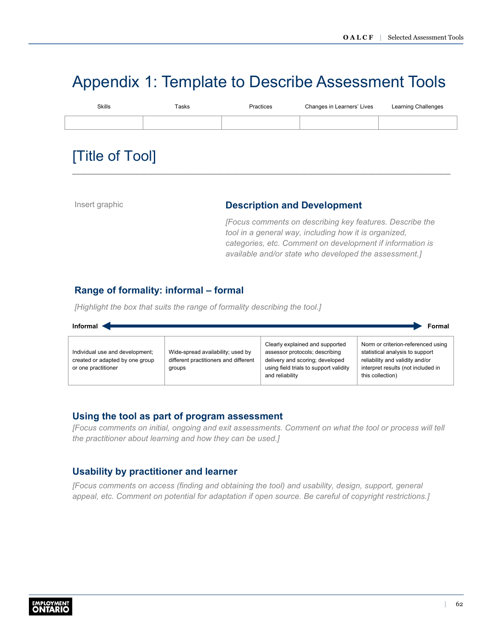# <span id="page-64-0"></span>Appendix 1: Template to Describe Assessment Tools

| <b>Skills</b> | Tasks | Practices | Changes in Learners' Lives | Learning Challenges |
|---------------|-------|-----------|----------------------------|---------------------|
|               |       |           |                            |                     |
|               |       |           |                            |                     |

# [Title of Tool]

### Insert graphic **Description and Development**

*[Focus comments on describing key features. Describe the tool in a general way, including how it is organized, categories, etc. Comment on development if information is available and/or state who developed the assessment.]*

# **Range of formality: informal – formal**

*[Highlight the box that suits the range of formality describing the tool.]*

![](_page_64_Figure_9.jpeg)

### **Using the tool as part of program assessment**

*[Focus comments on initial, ongoing and exit assessments. Comment on what the tool or process will tell the practitioner about learning and how they can be used.]*

# **Usability by practitioner and learner**

*[Focus comments on access (finding and obtaining the tool) and usability, design, support, general appeal, etc. Comment on potential for adaptation if open source. Be careful of copyright restrictions.]*